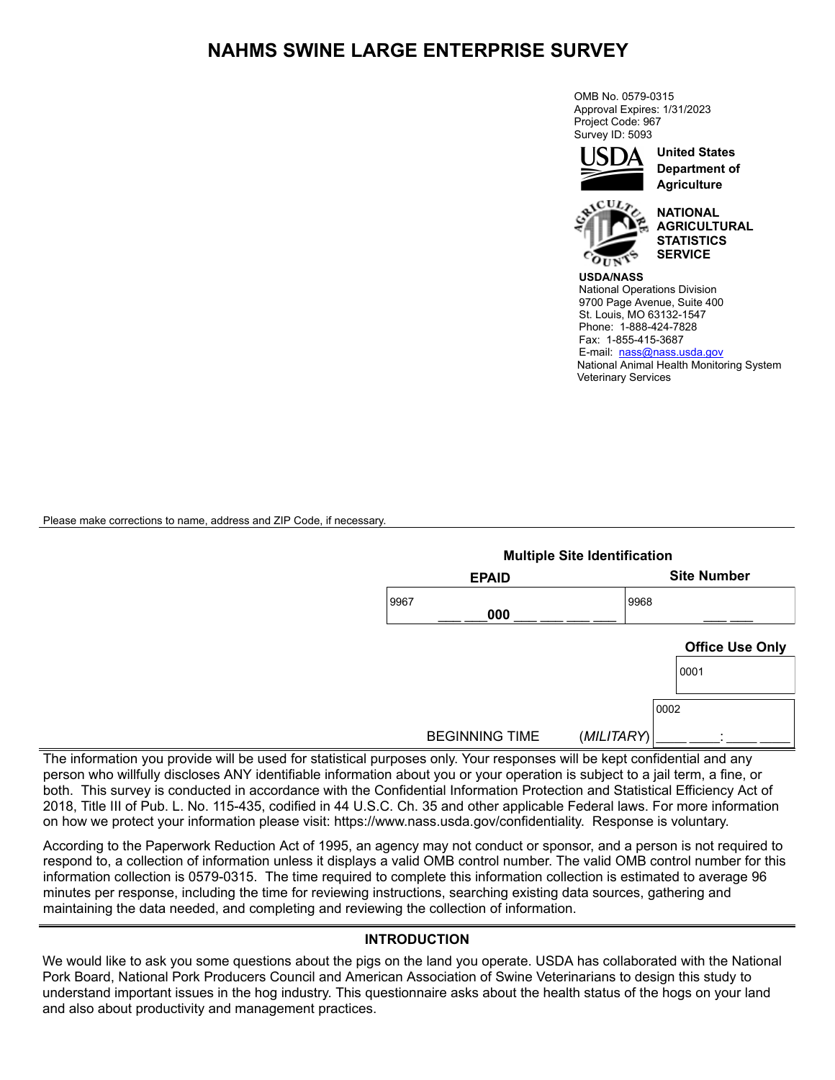## **NAHMS SWINE LARGE ENTERPRISE SURVEY**

OMB No. 0579-0315 Approval Expires: 1/31/2023 Project Code: 967 Survey ID: 5093



**United States Department of Agriculture**



**NATIONAL AGRICULTURAL STATISTICS SERVICE**

**USDA/NASS** National Operations Division 9700 Page Avenue, Suite 400 St. Louis, MO 63132-1547 Phone: 1-888-424-7828 Fax: 1-855-415-3687 E-mail: [nass@nass.usda.gov](mailto:nass-wy@nass.usda.gov) National Animal Health Monitoring System Veterinary Services

Please make corrections to name, address and ZIP Code, if necessary.

|                       | <b>Multiple Site Identification</b> |
|-----------------------|-------------------------------------|
| <b>EPAID</b>          | <b>Site Number</b>                  |
| 9967<br>000           | 9968                                |
|                       | <b>Office Use Only</b>              |
|                       | 0001                                |
|                       | 0002                                |
| <b>BEGINNING TIME</b> | (MILITARY)<br>٠                     |

The information you provide will be used for statistical purposes only. Your responses will be kept confidential and any person who willfully discloses ANY identifiable information about you or your operation is subject to a jail term, a fine, or both. This survey is conducted in accordance with the Confidential Information Protection and Statistical Efficiency Act of 2018, Title III of Pub. L. No. 115-435, codified in 44 U.S.C. Ch. 35 and other applicable Federal laws. For more information on how we protect your information please visit: https://www.nass.usda.gov/confidentiality. Response is voluntary.

According to the Paperwork Reduction Act of 1995, an agency may not conduct or sponsor, and a person is not required to respond to, a collection of information unless it displays a valid OMB control number. The valid OMB control number for this information collection is 0579-0315. The time required to complete this information collection is estimated to average 96 minutes per response, including the time for reviewing instructions, searching existing data sources, gathering and maintaining the data needed, and completing and reviewing the collection of information.

#### **INTRODUCTION**

We would like to ask you some questions about the pigs on the land you operate. USDA has collaborated with the National Pork Board, National Pork Producers Council and American Association of Swine Veterinarians to design this study to understand important issues in the hog industry. This questionnaire asks about the health status of the hogs on your land and also about productivity and management practices.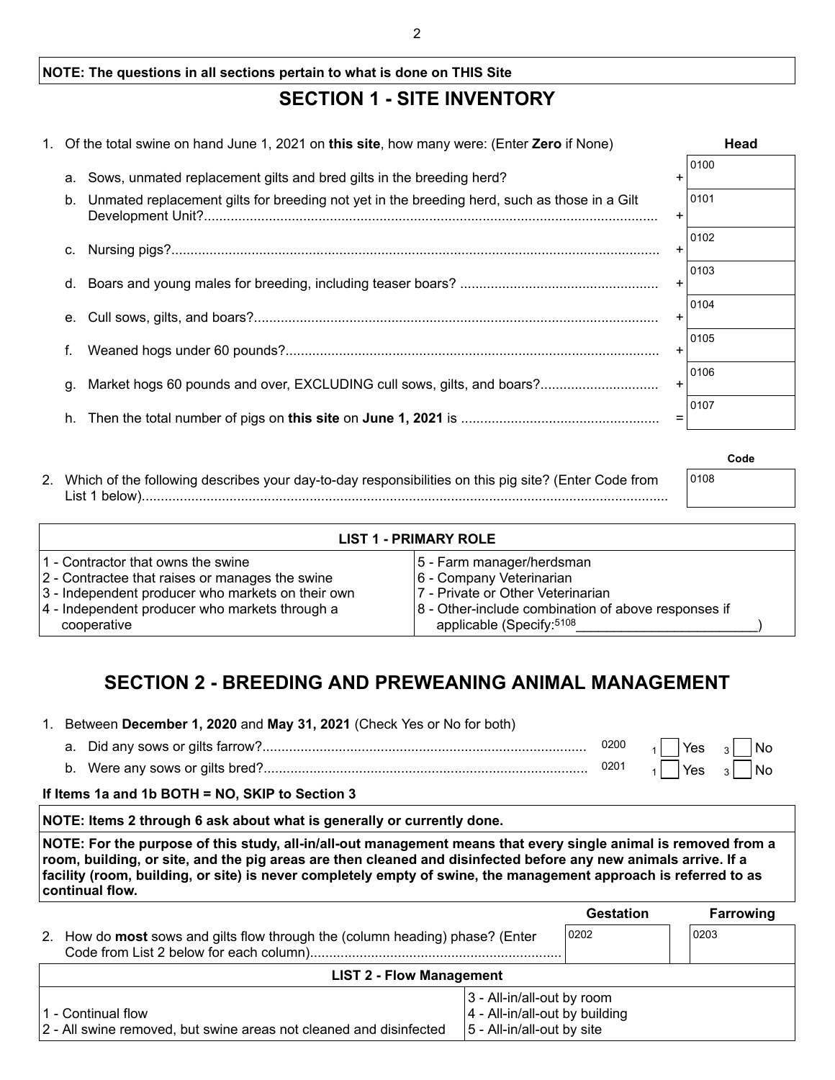### **NOTE: The questions in all sections pertain to what is done on THIS Site**

## **SECTION 1 - SITE INVENTORY**

|    | 1. Of the total swine on hand June 1, 2021 on this site, how many were: (Enter Zero if None) |     | Head |
|----|----------------------------------------------------------------------------------------------|-----|------|
| a. | Sows, unmated replacement gilts and bred gilts in the breeding herd?                         | ÷   | 0100 |
| b. | Unmated replacement gilts for breeding not yet in the breeding herd, such as those in a Gilt | +   | 0101 |
| C. |                                                                                              |     | 0102 |
| d. |                                                                                              |     | 0103 |
| е. |                                                                                              |     | 0104 |
| f. |                                                                                              |     | 0105 |
| g. | Market hogs 60 pounds and over, EXCLUDING cull sows, gilts, and boars?                       |     | 0106 |
| h. |                                                                                              | $=$ | 0107 |
|    |                                                                                              |     |      |

| 2. Which of the following describes your day-to-day responsibilities on this pig site? (Enter Code from | 0108 |
|---------------------------------------------------------------------------------------------------------|------|
| List 1 below).                                                                                          |      |

| <b>LIST 1 - PRIMARY ROLE</b>                      |                                                     |  |  |  |
|---------------------------------------------------|-----------------------------------------------------|--|--|--|
| 1 - Contractor that owns the swine                | 5 - Farm manager/herdsman                           |  |  |  |
| 2 - Contractee that raises or manages the swine   | 6 - Company Veterinarian                            |  |  |  |
| 3 - Independent producer who markets on their own | 7 - Private or Other Veterinarian                   |  |  |  |
| 4 - Independent producer who markets through a    | 8 - Other-include combination of above responses if |  |  |  |
| cooperative                                       | applicable (Specify: 5108                           |  |  |  |

**Code**

## **SECTION 2 - BREEDING AND PREWEANING ANIMAL MANAGEMENT**

#### 1. Between **December 1, 2020** and **May 31, 2021** (Check Yes or No for both)

|                                  | 0200 | Yes | No |
|----------------------------------|------|-----|----|
| b. Were any sows or gilts bred?. | 0201 | Yes | No |

#### **If Items 1a and 1b BOTH = NO, SKIP to Section 3**

#### **NOTE: Items 2 through 6 ask about what is generally or currently done.**

**NOTE: For the purpose of this study, all-in/all-out management means that every single animal is removed from a room, building, or site, and the pig areas are then cleaned and disinfected before any new animals arrive. If a facility (room, building, or site) is never completely empty of swine, the management approach is referred to as continual flow.**

|                                                                                            |                                                                                            | <b>Gestation</b> |      | <b>Farrowing</b> |
|--------------------------------------------------------------------------------------------|--------------------------------------------------------------------------------------------|------------------|------|------------------|
| How do <b>most</b> sows and gilts flow through the (column heading) phase? (Enter<br>2.    |                                                                                            | 0202             | 0203 |                  |
| <b>LIST 2 - Flow Management</b>                                                            |                                                                                            |                  |      |                  |
| l 1 - Continual flow<br>2 - All swine removed, but swine areas not cleaned and disinfected | 3 - All-in/all-out by room<br>4 - All-in/all-out by building<br>5 - All-in/all-out by site |                  |      |                  |

 $\mathfrak{D}$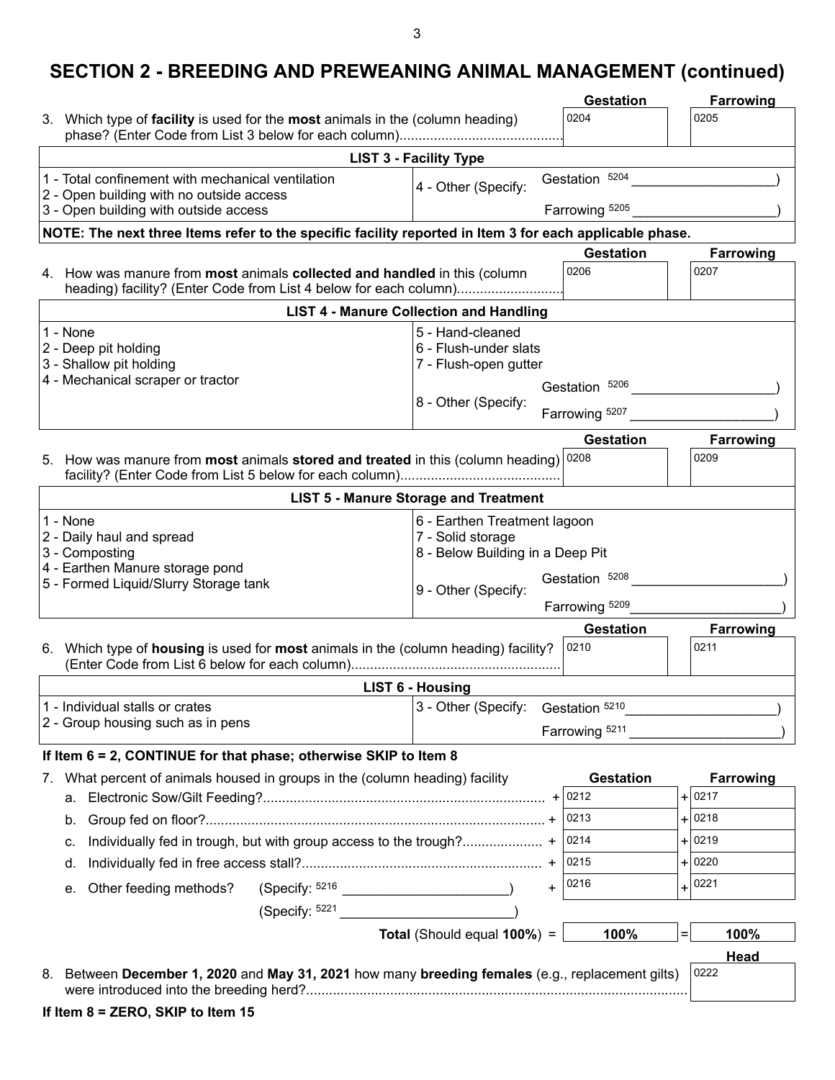### 3

# **SECTION 2 - BREEDING AND PREWEANING ANIMAL MANAGEMENT (continued)**

|                                                                                                                                                                                               | <b>Gestation</b>         | Farrowing         |
|-----------------------------------------------------------------------------------------------------------------------------------------------------------------------------------------------|--------------------------|-------------------|
| 3. Which type of facility is used for the most animals in the (column heading)                                                                                                                | 0204                     | 0205              |
| <b>LIST 3 - Facility Type</b>                                                                                                                                                                 |                          |                   |
| 1 - Total confinement with mechanical ventilation<br>4 - Other (Specify:<br>2 - Open building with no outside access                                                                          | Gestation 5204           |                   |
| 3 - Open building with outside access                                                                                                                                                         | Farrowing 5205           |                   |
| NOTE: The next three Items refer to the specific facility reported in Item 3 for each applicable phase.                                                                                       |                          |                   |
| 4. How was manure from most animals collected and handled in this (column<br>heading) facility? (Enter Code from List 4 below for each column)                                                | <b>Gestation</b><br>0206 | Farrowing<br>0207 |
| <b>LIST 4 - Manure Collection and Handling</b>                                                                                                                                                |                          |                   |
| 5 - Hand-cleaned<br>1 - None<br>6 - Flush-under slats<br>2 - Deep pit holding<br>3 - Shallow pit holding<br>7 - Flush-open gutter<br>4 - Mechanical scraper or tractor<br>8 - Other (Specify: | Gestation 5206           |                   |
|                                                                                                                                                                                               | Farrowing 5207           |                   |
|                                                                                                                                                                                               | <b>Gestation</b>         | <b>Farrowing</b>  |
| 5. How was manure from <b>most</b> animals <b>stored and treated</b> in this (column heading) $ 0208 $                                                                                        |                          | 0209              |
| <b>LIST 5 - Manure Storage and Treatment</b>                                                                                                                                                  |                          |                   |
| 1 - None<br>6 - Earthen Treatment lagoon<br>7 - Solid storage<br>2 - Daily haul and spread<br>3 - Composting<br>8 - Below Building in a Deep Pit<br>4 - Earthen Manure storage pond           |                          |                   |
| 5 - Formed Liquid/Slurry Storage tank<br>9 - Other (Specify:                                                                                                                                  | Gestation 5208           |                   |
|                                                                                                                                                                                               | Farrowing 5209           |                   |
| 6. Which type of housing is used for most animals in the (column heading) facility?                                                                                                           | <b>Gestation</b><br>0210 | Farrowing<br>0211 |
| <b>LIST 6 - Housing</b>                                                                                                                                                                       |                          |                   |
| 1 - Individual stalls or crates<br>3 - Other (Specify:<br>2 - Group housing such as in pens                                                                                                   | Gestation 5210           |                   |
|                                                                                                                                                                                               | Farrowing 5211           |                   |
| If Item 6 = 2, CONTINUE for that phase; otherwise SKIP to Item 8                                                                                                                              |                          |                   |
| What percent of animals housed in groups in the (column heading) facility<br>$\mathcal{L}$ .                                                                                                  | <b>Gestation</b>         | Farrowing         |
| а.                                                                                                                                                                                            |                          | $+ 0217$          |
| b.                                                                                                                                                                                            | 0213                     | $+ 0218$          |
| c.                                                                                                                                                                                            | 0214                     | $+ 0219$          |
| d.                                                                                                                                                                                            | 0215                     | $+ 0220$          |
| (Specify: 5216<br>Other feeding methods?<br>$\ddot{}$<br>е.                                                                                                                                   | 0216                     | 0221<br>$+$       |
|                                                                                                                                                                                               |                          |                   |
| Total (Should equal 100%) =                                                                                                                                                                   | 100%                     | $=$<br>100%       |
|                                                                                                                                                                                               |                          | Head              |
| Between December 1, 2020 and May 31, 2021 how many breeding females (e.g., replacement gilts)<br>8.                                                                                           |                          | 0222              |
| If Item 8 = ZERO, SKIP to Item 15                                                                                                                                                             |                          |                   |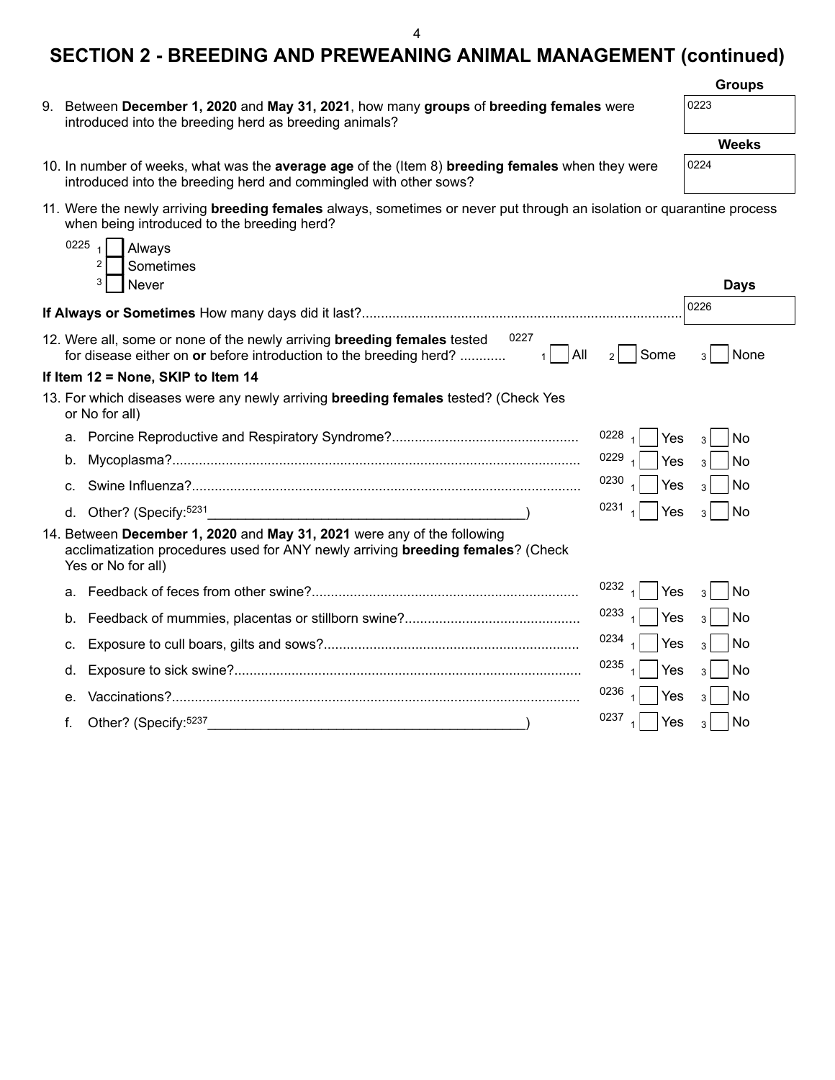|                                                                                                                                                                                              | <b>Groups</b>          |
|----------------------------------------------------------------------------------------------------------------------------------------------------------------------------------------------|------------------------|
| Between December 1, 2020 and May 31, 2021, how many groups of breeding females were<br>9.<br>introduced into the breeding herd as breeding animals?                                          | 0223                   |
|                                                                                                                                                                                              | Weeks                  |
| 10. In number of weeks, what was the average age of the (Item 8) breeding females when they were<br>introduced into the breeding herd and commingled with other sows?                        | 0224                   |
| 11. Were the newly arriving breeding females always, sometimes or never put through an isolation or quarantine process<br>when being introduced to the breeding herd?                        |                        |
| 0225<br>Always                                                                                                                                                                               |                        |
| 2<br>Sometimes                                                                                                                                                                               |                        |
| 3<br>Never                                                                                                                                                                                   | <b>Days</b>            |
|                                                                                                                                                                                              | 0226                   |
| 0227<br>12. Were all, some or none of the newly arriving breeding females tested<br>All<br>Some<br>for disease either on or before introduction to the breeding herd?<br>1<br>2 <sup>1</sup> | None<br>3 <sup>1</sup> |
| If Item 12 = None, SKIP to Item 14                                                                                                                                                           |                        |
| 13. For which diseases were any newly arriving <b>breeding females</b> tested? (Check Yes<br>or No for all)                                                                                  |                        |
| 0228<br>Yes<br>$\overline{1}$                                                                                                                                                                | No<br>$\overline{3}$   |
| 0229<br>Yes<br>$\overline{A}$<br>b.                                                                                                                                                          | No<br>3                |
| 0230<br>Yes<br>C.                                                                                                                                                                            | No<br>3                |
| 0231<br>Yes<br>d. Other? (Specify: 5231<br><u> 1989 - Paris Alexandri, prima amerikana amerikana amerikana amerikana amerikana amerikana amerikana amerikana</u>                             | No<br>3                |
| 14. Between December 1, 2020 and May 31, 2021 were any of the following<br>acclimatization procedures used for ANY newly arriving <b>breeding females</b> ? (Check<br>Yes or No for all)     |                        |
| 0232<br>Yes<br>a.                                                                                                                                                                            | No<br>3                |
| 0233<br>Yes<br>b.                                                                                                                                                                            | No<br>3                |
| 0234<br>Yes<br>с.                                                                                                                                                                            | No<br>3                |
| 0235<br>Yes<br>d.                                                                                                                                                                            | No<br>3                |
| 0236<br>Yes<br>е.                                                                                                                                                                            | No                     |
| 0237<br>Other? (Specify: 5237<br>Yes<br>f.<br><u> 1989 - Johann John Stein, mars eta ingilar eta ingilaria (h. 1989).</u>                                                                    | No<br>3                |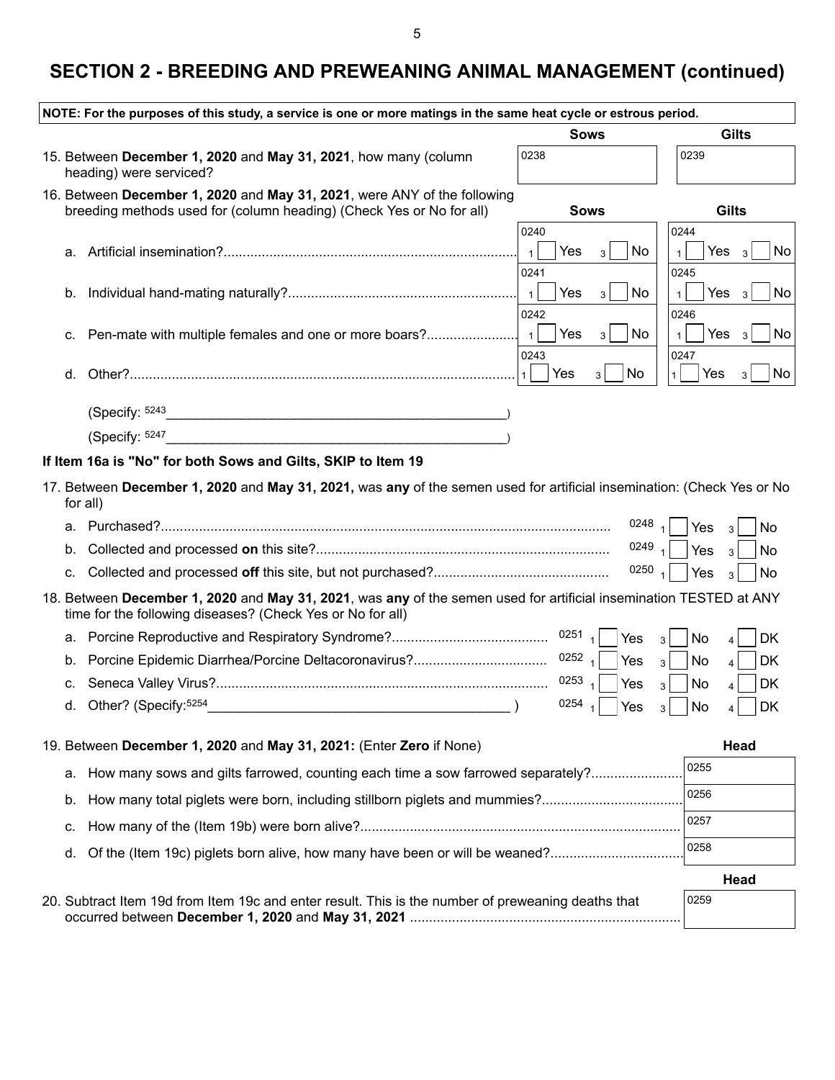| NOTE: For the purposes of this study, a service is one or more matings in the same heat cycle or estrous period.                                                                 |                                        |                                       |
|----------------------------------------------------------------------------------------------------------------------------------------------------------------------------------|----------------------------------------|---------------------------------------|
|                                                                                                                                                                                  | <b>Sows</b>                            | <b>Gilts</b>                          |
| 15. Between December 1, 2020 and May 31, 2021, how many (column<br>heading) were serviced?                                                                                       | 0238                                   | 0239                                  |
| 16. Between December 1, 2020 and May 31, 2021, were ANY of the following<br>breeding methods used for (column heading) (Check Yes or No for all)                                 | <b>Sows</b>                            | <b>Gilts</b>                          |
|                                                                                                                                                                                  | 0240                                   | 0244                                  |
| а.                                                                                                                                                                               | $\vert$ 1<br>No<br>Yes<br>3            | Yes $3$<br>No                         |
| b.                                                                                                                                                                               | 0241<br>$\mathbf{1}$<br>Yes<br>No<br>3 | 0245<br>Yes $3$<br>No<br>$\mathbf{1}$ |
|                                                                                                                                                                                  | 0242                                   | 0246                                  |
| Pen-mate with multiple females and one or more boars?<br>C.                                                                                                                      | $\vert$ 1<br>Yes<br>No<br>3            | Yes $3$<br>No                         |
|                                                                                                                                                                                  | 0243                                   | 0247                                  |
| d.                                                                                                                                                                               | Yes<br>No<br>$\mathbf{1}$<br>3         | Yes<br>No<br>3<br>1 <sup>1</sup>      |
| (Specify: 5243                                                                                                                                                                   |                                        |                                       |
| (Specify: 5247                                                                                                                                                                   |                                        |                                       |
| If Item 16a is "No" for both Sows and Gilts, SKIP to Item 19                                                                                                                     |                                        |                                       |
| 17. Between December 1, 2020 and May 31, 2021, was any of the semen used for artificial insemination: (Check Yes or No<br>for all)                                               |                                        |                                       |
| а.                                                                                                                                                                               | $0248$ $1$                             | Yes<br>No<br>3                        |
| b.                                                                                                                                                                               | 0249 $_1$                              | Yes<br>No<br>$\mathbf{3}$             |
| C.                                                                                                                                                                               | 0250 $_1$                              | Yes<br>No<br>$\overline{3}$           |
| 18. Between December 1, 2020 and May 31, 2021, was any of the semen used for artificial insemination TESTED at ANY<br>time for the following diseases? (Check Yes or No for all) |                                        |                                       |
| а.                                                                                                                                                                               | 0251 $_1$<br>Yes                       | No<br>DK<br>4                         |
| b.                                                                                                                                                                               | 0252 $_1$<br>Yes                       | No<br>DK<br>3<br>4                    |
| c.                                                                                                                                                                               | 0253 $_1$<br>Yes                       | DK<br>No<br>$\overline{\mathbf{4}}$   |
| d. Other? (Specify: 5254<br>$\overline{\phantom{a}}$                                                                                                                             | 0254<br>Yes                            | No<br>DK                              |
| 19. Between December 1, 2020 and May 31, 2021: (Enter Zero if None)                                                                                                              |                                        | Head                                  |
| How many sows and gilts farrowed, counting each time a sow farrowed separately?<br>а.                                                                                            |                                        | 0255                                  |
| How many total piglets were born, including stillborn piglets and mummies?<br>b.                                                                                                 |                                        | 0256                                  |
| с.                                                                                                                                                                               |                                        | 0257                                  |
| Of the (Item 19c) piglets born alive, how many have been or will be weaned?<br>d.                                                                                                |                                        | 0258                                  |
|                                                                                                                                                                                  |                                        |                                       |
| 20. Subtract Item 19d from Item 19c and enter result. This is the number of preweaning deaths that                                                                               |                                        | Head<br>0259                          |
|                                                                                                                                                                                  |                                        |                                       |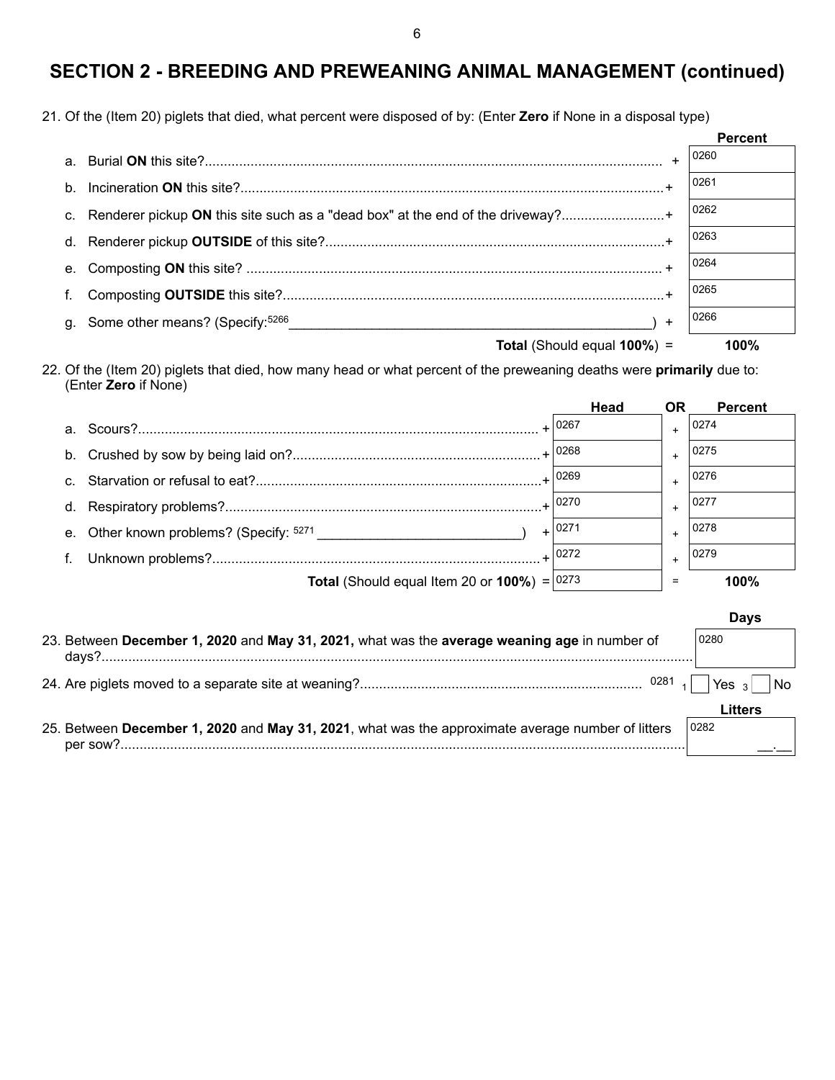21. Of the (Item 20) piglets that died, what percent were disposed of by: (Enter **Zero** if None in a disposal type)

|                                                                                   |           | <b>Percent</b> |
|-----------------------------------------------------------------------------------|-----------|----------------|
|                                                                                   |           | 0260           |
|                                                                                   |           | 0261           |
| c. Renderer pickup ON this site such as a "dead box" at the end of the driveway?+ |           | 0262           |
|                                                                                   |           | 0263           |
|                                                                                   |           | 0264           |
|                                                                                   |           | 0265           |
|                                                                                   | $\ddot{}$ | 0266           |
| <b>Total</b> (Should equal 100%) =                                                |           | 100%           |

22. Of the (Item 20) piglets that died, how many head or what percent of the preweaning deaths were **primarily** due to: (Enter **Zero** if None)

|                |                                                                                              | Head     | <b>OR</b> | <b>Percent</b> |
|----------------|----------------------------------------------------------------------------------------------|----------|-----------|----------------|
| a <sub>1</sub> |                                                                                              |          |           | 0274           |
| b.             |                                                                                              |          |           | 0275           |
| C.             |                                                                                              |          |           | 0276           |
| d.             |                                                                                              |          |           | 0277           |
| е.             |                                                                                              | $+ 0271$ |           | 0278           |
|                |                                                                                              |          | $+$       | 0279           |
|                | <b>Total</b> (Should equal Item 20 or $100\%$ ) = 0273                                       |          | =         | 100%           |
|                |                                                                                              |          |           | <b>Days</b>    |
|                | 23. Between December 1, 2020 and May 31, 2021, what was the average weaning age in number of |          |           | 0280           |
|                | days?                                                                                        |          |           |                |

|                                                                                                   | Litters |
|---------------------------------------------------------------------------------------------------|---------|
| 25. Between December 1, 2020 and May 31, 2021, what was the approximate average number of litters | 0282    |
|                                                                                                   |         |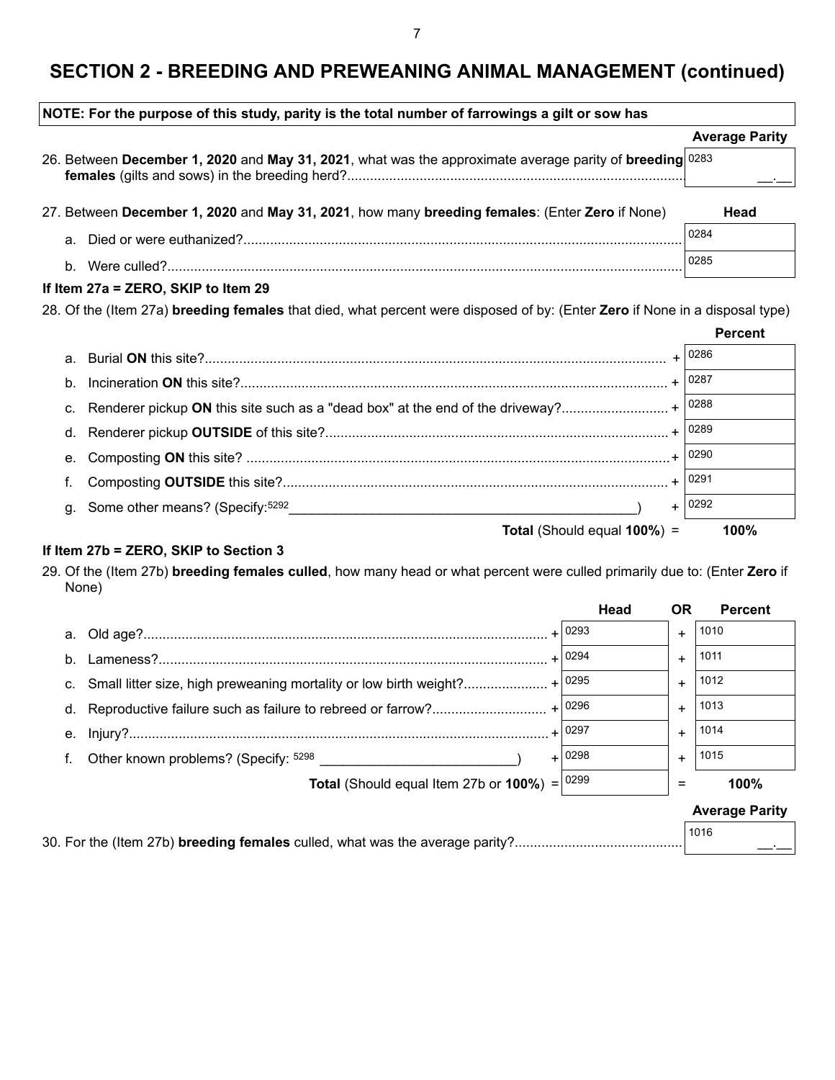| NOTE: For the purpose of this study, parity is the total number of farrowings a gilt or sow has |                                                                                                                             |                       |
|-------------------------------------------------------------------------------------------------|-----------------------------------------------------------------------------------------------------------------------------|-----------------------|
|                                                                                                 |                                                                                                                             | <b>Average Parity</b> |
|                                                                                                 | 26. Between December 1, 2020 and May 31, 2021, what was the approximate average parity of breeding 0283                     |                       |
|                                                                                                 | 27. Between December 1, 2020 and May 31, 2021, how many breeding females: (Enter Zero if None)                              | Head                  |
| a.                                                                                              |                                                                                                                             | 0284                  |
| $b_{-}$                                                                                         |                                                                                                                             | 0285                  |
|                                                                                                 | If Item 27a = ZERO, SKIP to Item 29                                                                                         |                       |
|                                                                                                 | 28. Of the (Item 27a) breeding females that died, what percent were disposed of by: (Enter Zero if None in a disposal type) |                       |
|                                                                                                 |                                                                                                                             | <b>Percent</b>        |
| a.                                                                                              |                                                                                                                             |                       |
| b.                                                                                              |                                                                                                                             | $+ 0287$              |
| C.                                                                                              | Renderer pickup ON this site such as a "dead box" at the end of the driveway? + $ 0288$                                     |                       |
| d.                                                                                              |                                                                                                                             |                       |
| е.                                                                                              |                                                                                                                             |                       |
|                                                                                                 |                                                                                                                             | $+ 0291$              |
|                                                                                                 | g. Some other means? (Specify: 5292                                                                                         | $+ 0292$              |

### **Total** (Should equal **100%**) = **100%**

### **If Item 27b = ZERO, SKIP to Section 3**

29. Of the (Item 27b) **breeding females culled**, how many head or what percent were culled primarily due to: (Enter **Zero** if None)

|              |                                                                             | Head     | <b>OR</b> | <b>Percent</b>        |
|--------------|-----------------------------------------------------------------------------|----------|-----------|-----------------------|
|              |                                                                             |          | $+$       | 1010                  |
| <sub>b</sub> |                                                                             |          | $+$       | 1011                  |
|              | c. Small litter size, high preweaning mortality or low birth weight? + 0295 |          | $+$       | 1012                  |
|              |                                                                             |          | $+$       | 1013                  |
|              |                                                                             |          | $+$       | 1014                  |
| f.           | Other known problems? (Specify: <sup>5298</sup>                             | $+ 0298$ | $+$       | 1015                  |
|              | <b>Total</b> (Should equal Item 27b or $100\%$ ) = $ 0299$                  |          | =         | 100%                  |
|              |                                                                             |          |           | <b>Average Parity</b> |

| 1016 |
|------|
|      |
|      |
|      |
|      |

7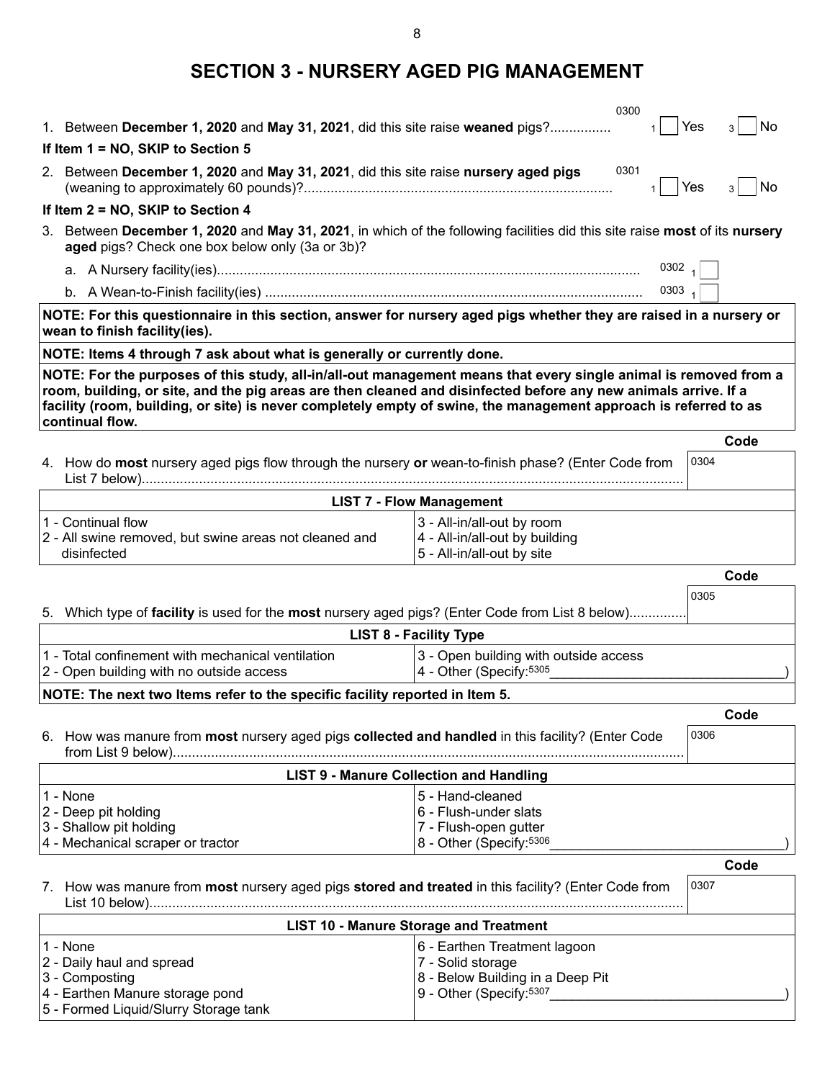**SECTION 3 - NURSERY AGED PIG MANAGEMENT**

|                                                                                                                                                                                                                                                                                                                                                                            | 0300                                                                                       |                |  |  |
|----------------------------------------------------------------------------------------------------------------------------------------------------------------------------------------------------------------------------------------------------------------------------------------------------------------------------------------------------------------------------|--------------------------------------------------------------------------------------------|----------------|--|--|
| 1. Between December 1, 2020 and May 31, 2021, did this site raise weaned pigs?                                                                                                                                                                                                                                                                                             |                                                                                            | No<br>Yes<br>3 |  |  |
| If Item 1 = NO, SKIP to Section 5                                                                                                                                                                                                                                                                                                                                          |                                                                                            |                |  |  |
| 2. Between December 1, 2020 and May 31, 2021, did this site raise nursery aged pigs                                                                                                                                                                                                                                                                                        | 0301                                                                                       | No<br>Yes<br>3 |  |  |
| If Item 2 = NO, SKIP to Section 4                                                                                                                                                                                                                                                                                                                                          |                                                                                            |                |  |  |
| Between December 1, 2020 and May 31, 2021, in which of the following facilities did this site raise most of its nursery<br>3.<br>aged pigs? Check one box below only (3a or 3b)?                                                                                                                                                                                           |                                                                                            |                |  |  |
|                                                                                                                                                                                                                                                                                                                                                                            | 0302 $\frac{1}{1}$                                                                         |                |  |  |
|                                                                                                                                                                                                                                                                                                                                                                            | $0303$ <sub>1</sub>                                                                        |                |  |  |
| NOTE: For this questionnaire in this section, answer for nursery aged pigs whether they are raised in a nursery or<br>wean to finish facility(ies).                                                                                                                                                                                                                        |                                                                                            |                |  |  |
| NOTE: Items 4 through 7 ask about what is generally or currently done.                                                                                                                                                                                                                                                                                                     |                                                                                            |                |  |  |
| NOTE: For the purposes of this study, all-in/all-out management means that every single animal is removed from a<br>room, building, or site, and the pig areas are then cleaned and disinfected before any new animals arrive. If a<br>facility (room, building, or site) is never completely empty of swine, the management approach is referred to as<br>continual flow. |                                                                                            |                |  |  |
|                                                                                                                                                                                                                                                                                                                                                                            |                                                                                            | Code           |  |  |
| 4. How do most nursery aged pigs flow through the nursery or wean-to-finish phase? (Enter Code from                                                                                                                                                                                                                                                                        |                                                                                            | 0304           |  |  |
|                                                                                                                                                                                                                                                                                                                                                                            | <b>LIST 7 - Flow Management</b>                                                            |                |  |  |
| 1 - Continual flow<br>2 - All swine removed, but swine areas not cleaned and<br>disinfected                                                                                                                                                                                                                                                                                | 3 - All-in/all-out by room<br>4 - All-in/all-out by building<br>5 - All-in/all-out by site |                |  |  |
|                                                                                                                                                                                                                                                                                                                                                                            |                                                                                            | Code           |  |  |
|                                                                                                                                                                                                                                                                                                                                                                            |                                                                                            |                |  |  |
| 5. Which type of facility is used for the most nursery aged pigs? (Enter Code from List 8 below)                                                                                                                                                                                                                                                                           |                                                                                            | 0305           |  |  |
|                                                                                                                                                                                                                                                                                                                                                                            | <b>LIST 8 - Facility Type</b>                                                              |                |  |  |
| 1 - Total confinement with mechanical ventilation<br>2 - Open building with no outside access                                                                                                                                                                                                                                                                              | 3 - Open building with outside access<br>4 - Other (Specify: 5305                          |                |  |  |
| NOTE: The next two Items refer to the specific facility reported in Item 5.                                                                                                                                                                                                                                                                                                |                                                                                            |                |  |  |
|                                                                                                                                                                                                                                                                                                                                                                            |                                                                                            | Code           |  |  |
| 6. How was manure from most nursery aged pigs collected and handled in this facility? (Enter Code                                                                                                                                                                                                                                                                          |                                                                                            | 0306           |  |  |
|                                                                                                                                                                                                                                                                                                                                                                            | <b>LIST 9 - Manure Collection and Handling</b>                                             |                |  |  |
| 1 - None                                                                                                                                                                                                                                                                                                                                                                   | 5 - Hand-cleaned                                                                           |                |  |  |
| 2 - Deep pit holding                                                                                                                                                                                                                                                                                                                                                       | 6 - Flush-under slats                                                                      |                |  |  |
| 3 - Shallow pit holding                                                                                                                                                                                                                                                                                                                                                    | 7 - Flush-open gutter                                                                      |                |  |  |
| 4 - Mechanical scraper or tractor                                                                                                                                                                                                                                                                                                                                          | 8 - Other (Specify: 5306                                                                   |                |  |  |
| 7. How was manure from most nursery aged pigs stored and treated in this facility? (Enter Code from                                                                                                                                                                                                                                                                        |                                                                                            | Code<br>0307   |  |  |
|                                                                                                                                                                                                                                                                                                                                                                            |                                                                                            |                |  |  |
|                                                                                                                                                                                                                                                                                                                                                                            | <b>LIST 10 - Manure Storage and Treatment</b>                                              |                |  |  |
| 1 - None<br>2 - Daily haul and spread                                                                                                                                                                                                                                                                                                                                      | 6 - Earthen Treatment lagoon<br>7 - Solid storage                                          |                |  |  |
| 3 - Composting<br>4 - Earthen Manure storage pond                                                                                                                                                                                                                                                                                                                          | 8 - Below Building in a Deep Pit<br>9 - Other (Specify: 5307                               |                |  |  |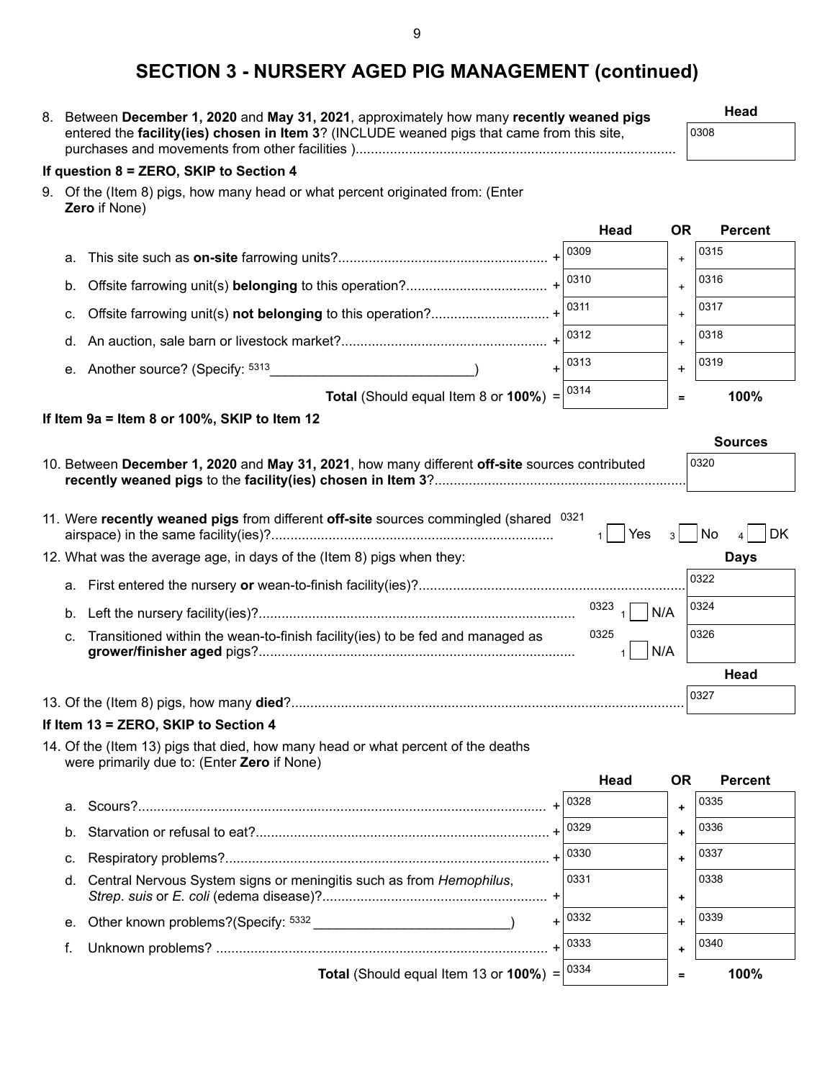## **SECTION 3 - NURSERY AGED PIG MANAGEMENT (continued)**

| SECTION 3 - NURSERY AGED PIG MANAGEMENT (CONTINUED)                                                                             |             |                             |
|---------------------------------------------------------------------------------------------------------------------------------|-------------|-----------------------------|
| 8. Between December 1, 2020 and May 31, 2021, approximately how many recently weaned pigs                                       |             | Head                        |
| entered the facility(ies) chosen in Item 3? (INCLUDE weaned pigs that came from this site,                                      |             | 0308                        |
| If question 8 = ZERO, SKIP to Section 4                                                                                         |             |                             |
| 9. Of the (Item 8) pigs, how many head or what percent originated from: (Enter<br>Zero if None)                                 |             |                             |
|                                                                                                                                 | Head        | <b>OR</b><br><b>Percent</b> |
| a.                                                                                                                              | 0309        | 0315<br>$\ddot{}$           |
| b.                                                                                                                              | 0310        | 0316<br>$\ddot{}$           |
| C.                                                                                                                              | 0311        | 0317<br>$\ddot{}$           |
| d.                                                                                                                              | 0312        | 0318<br>$\ddot{}$           |
| e. Another source? (Specify: 5313                                                                                               | 0313        | 0319<br>+                   |
| <b>Total</b> (Should equal Item 8 or $100\%$ ) =                                                                                | 0314        | 100%<br>$\equiv$            |
| If Item 9a = Item 8 or 100%, SKIP to Item 12                                                                                    |             |                             |
|                                                                                                                                 |             | <b>Sources</b>              |
| 10. Between December 1, 2020 and May 31, 2021, how many different off-site sources contributed                                  |             | 0320                        |
| 11. Were recently weaned pigs from different off-site sources commingled (shared 0321                                           | Yes         | No<br>DK<br>$\mathbf{3}$    |
| 12. What was the average age, in days of the (Item 8) pigs when they:                                                           |             | <b>Days</b>                 |
| а.                                                                                                                              |             | 0322                        |
| b.                                                                                                                              | 0323<br>N/A | 0324                        |
| Transitioned within the wean-to-finish facility(ies) to be fed and managed as<br>C.                                             | 0325<br>N/A | 0326                        |
|                                                                                                                                 |             | Head                        |
|                                                                                                                                 |             | 0327                        |
| If Item 13 = ZERO, SKIP to Section 4                                                                                            |             |                             |
| 14. Of the (Item 13) pigs that died, how many head or what percent of the deaths<br>were primarily due to: (Enter Zero if None) |             |                             |
|                                                                                                                                 | Head        | <b>OR</b><br><b>Percent</b> |

|    |                                                                        | $+ 0328$ |   | 0335 |
|----|------------------------------------------------------------------------|----------|---|------|
|    |                                                                        | $+ 0329$ |   | 0336 |
|    |                                                                        |          |   | 0337 |
|    | d. Central Nervous System signs or meningitis such as from Hemophilus, | 0331     |   | 0338 |
|    | e. Other known problems?(Specify: 5332                                 | $+ 0332$ |   | 0339 |
| f. |                                                                        | $+ 0333$ |   | 0340 |
|    | <b>Total</b> (Should equal Item 13 or <b>100%</b> ) = $ ^{0334}$       |          | = | 100% |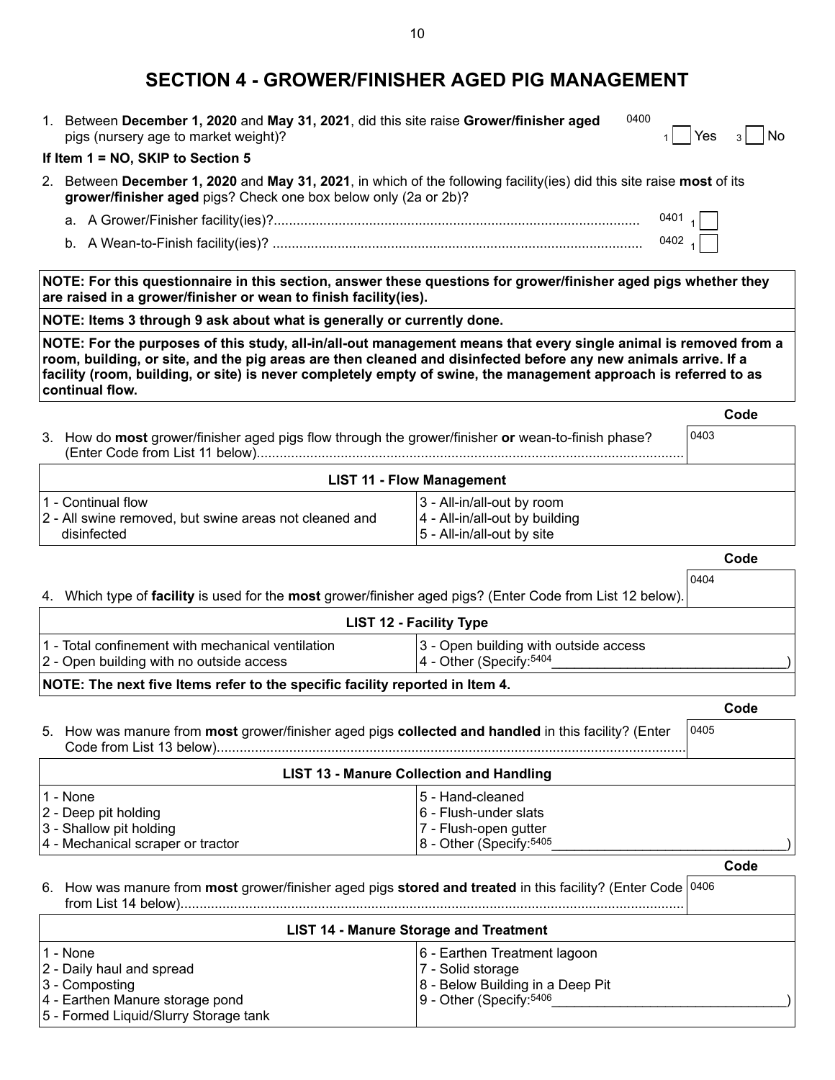### **SECTION 4 - GROWER/FINISHER AGED PIG MANAGEMENT**

1. Between **December 1, 2020** and **May 31, 2021**, did this site raise **Grower/finisher aged** pigs (nursery age to market weight)? 0400  $|$  Yes  $_3|$  No

#### **If Item 1 = NO, SKIP to Section 5**

- 2. Between **December 1, 2020** and **May 31, 2021**, in which of the following facility(ies) did this site raise **most** of its **grower/finisher aged** pigs? Check one box below only (2a or 2b)?
	- a. A Grower/Finisher facility(ies)?........................................................................................................... 0401 $_1$
	- b. A Wean-to-Finish facility(ies)? ............................................................................................................ 0402 $_1$

**NOTE: For this questionnaire in this section, answer these questions for grower/finisher aged pigs whether they are raised in a grower/finisher or wean to finish facility(ies).**

**NOTE: Items 3 through 9 ask about what is generally or currently done.**

**NOTE: For the purposes of this study, all-in/all-out management means that every single animal is removed from a room, building, or site, and the pig areas are then cleaned and disinfected before any new animals arrive. If a facility (room, building, or site) is never completely empty of swine, the management approach is referred to as continual flow.**

|                                                                                                    | vvuc |
|----------------------------------------------------------------------------------------------------|------|
| 3. How do most grower/finisher aged pigs flow through the grower/finisher or wean-to-finish phase? | 0403 |
|                                                                                                    |      |

| <b>LIST 11 - Flow Management</b>                       |                                   |  |
|--------------------------------------------------------|-----------------------------------|--|
| l1 - Continual flow                                    | 3 - All-in/all-out by room        |  |
| 2 - All swine removed, but swine areas not cleaned and | $ 4 - All-in/all-out by building$ |  |
| disinfected                                            | $ 5$ - All-in/all-out by site     |  |

**Code**

**Code**

0404

**Code**

|  |  | 4. Which type of facility is used for the most grower/finisher aged pigs? (Enter Code from List 12 below). |
|--|--|------------------------------------------------------------------------------------------------------------|
|  |  |                                                                                                            |

|                                                     | <b>LIST 12 - Facility Type</b>        |
|-----------------------------------------------------|---------------------------------------|
| l1 - Total confinement with mechanical ventilation_ | 3 - Open building with outside access |
| 2 - Open building with no outside access            | $4 - Other (Specify: 5404)$           |

#### **NOTE: The next five Items refer to the specific facility reported in Item 4.**

|                                                                                                      | Code |
|------------------------------------------------------------------------------------------------------|------|
| 5. How was manure from most grower/finisher aged pigs collected and handled in this facility? (Enter | 0405 |
| <b>LIST 13 - Manure Collection and Handling</b>                                                      |      |

| 11 - None                         | 15 - Hand-cleaned            |  |
|-----------------------------------|------------------------------|--|
| $ 2 - \text{Deep pit holding} $   | $ 6 -$ Flush-under slats     |  |
| 3 - Shallow pit holding           | 7 - Flush-open gutter        |  |
| 4 - Mechanical scraper or tractor | $8 -$ Other (Specify: $5405$ |  |

#### 6. How was manure from **most** grower/finisher aged pigs **stored and treated** in this facility? (Enter Code 0406 from List 14 below).........................................................................................................................................

| <b>LIST 14 - Manure Storage and Treatment</b>                                                                                        |                                                                                                                        |  |  |  |
|--------------------------------------------------------------------------------------------------------------------------------------|------------------------------------------------------------------------------------------------------------------------|--|--|--|
| 11 - None<br>2 - Daily haul and spread<br>3 - Composting<br>4 - Earthen Manure storage pond<br>5 - Formed Liquid/Slurry Storage tank | 6 - Earthen Treatment lagoon<br>7 - Solid storage<br>8 - Below Building in a Deep Pit<br>$ 9 -$ Other (Specify: $5406$ |  |  |  |

10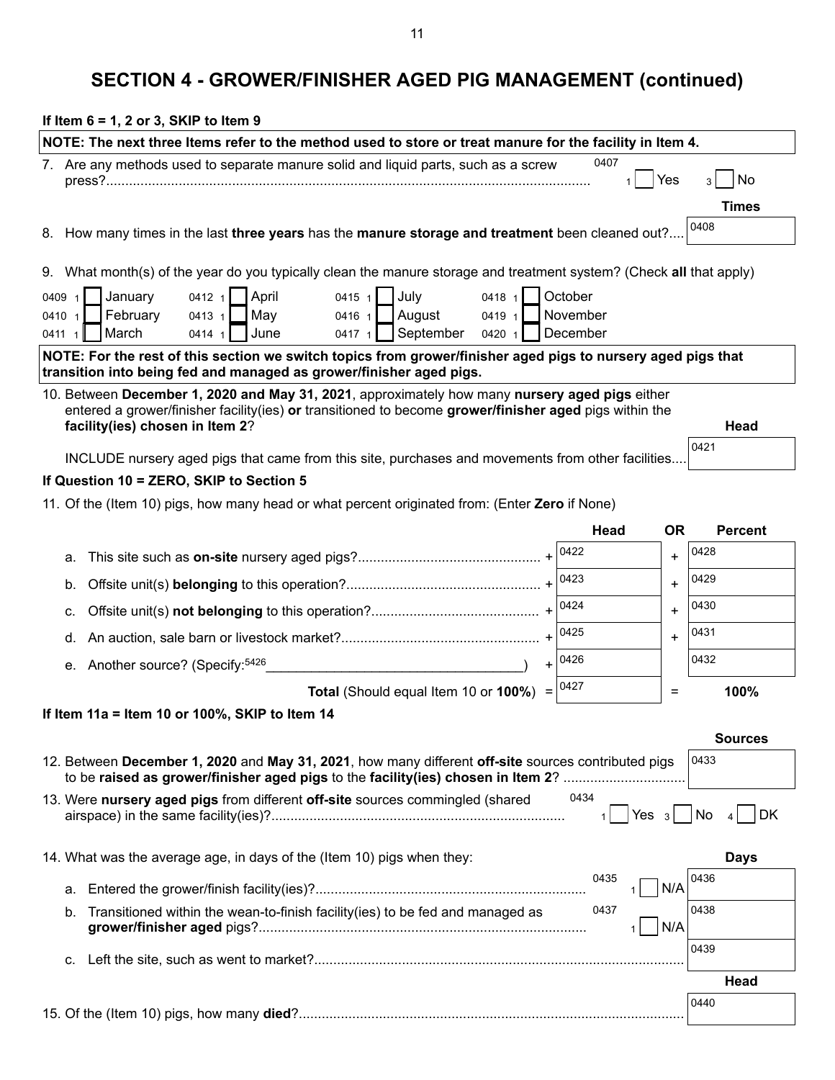# **SECTION 4 - GROWER/FINISHER AGED PIG MANAGEMENT (continued)**

| If Item $6 = 1$ , 2 or 3, SKIP to Item 9                                                                                                                                                                 |                      |           |                      |
|----------------------------------------------------------------------------------------------------------------------------------------------------------------------------------------------------------|----------------------|-----------|----------------------|
| NOTE: The next three Items refer to the method used to store or treat manure for the facility in Item 4.                                                                                                 |                      |           |                      |
| 7. Are any methods used to separate manure solid and liquid parts, such as a screw                                                                                                                       | 0407<br>$\mathbf{1}$ | Yes       | No<br>3 <sup>1</sup> |
|                                                                                                                                                                                                          |                      |           | <b>Times</b>         |
| 8. How many times in the last three years has the manure storage and treatment been cleaned out?                                                                                                         |                      |           | 0408                 |
| 9. What month(s) of the year do you typically clean the manure storage and treatment system? (Check all that apply)                                                                                      |                      |           |                      |
| April<br>July<br>January<br>$0415 \; 1$<br>0418 1<br>0412 1<br>0409 1                                                                                                                                    | October              |           |                      |
| February<br>August<br>May<br>0413 1<br>$0416 \t1$<br>0419 1<br>0410 1                                                                                                                                    | November             |           |                      |
| September<br>March<br>June<br>$0417 +$<br>0420 1<br>0414 1<br>$0411$ 1                                                                                                                                   | December             |           |                      |
| NOTE: For the rest of this section we switch topics from grower/finisher aged pigs to nursery aged pigs that<br>transition into being fed and managed as grower/finisher aged pigs.                      |                      |           |                      |
| 10. Between December 1, 2020 and May 31, 2021, approximately how many nursery aged pigs either<br>entered a grower/finisher facility(ies) or transitioned to become grower/finisher aged pigs within the |                      |           |                      |
| facility(ies) chosen in Item 2?                                                                                                                                                                          |                      |           | Head                 |
| INCLUDE nursery aged pigs that came from this site, purchases and movements from other facilities                                                                                                        |                      |           | 0421                 |
| If Question 10 = ZERO, SKIP to Section 5                                                                                                                                                                 |                      |           |                      |
| 11. Of the (Item 10) pigs, how many head or what percent originated from: (Enter Zero if None)                                                                                                           |                      |           |                      |
|                                                                                                                                                                                                          | Head                 | <b>OR</b> | <b>Percent</b>       |
| а.                                                                                                                                                                                                       | 0422                 | $\ddot{}$ | 0428                 |
|                                                                                                                                                                                                          | 0423                 | $\ddot{}$ | 0429                 |
| b.                                                                                                                                                                                                       | 0424                 |           | 0430                 |
| C.                                                                                                                                                                                                       | 0425                 | $\ddot{}$ | 0431                 |
| d.                                                                                                                                                                                                       | 0426                 | $\ddot{}$ | 0432                 |
| e. Another source? (Specify: 5426                                                                                                                                                                        | $+$                  |           |                      |
| Total (Should equal Item 10 or 100%) =                                                                                                                                                                   | 0427                 | $=$       | 100%                 |
| If Item 11a = Item 10 or 100%, SKIP to Item 14                                                                                                                                                           |                      |           |                      |
|                                                                                                                                                                                                          |                      |           | <b>Sources</b>       |
| 12. Between December 1, 2020 and May 31, 2021, how many different off-site sources contributed pigs<br>to be raised as grower/finisher aged pigs to the facility (ies) chosen in Item 2?                 |                      |           | 0433                 |
| 13. Were nursery aged pigs from different off-site sources commingled (shared                                                                                                                            | 0434<br>Yes $3$      |           | No<br>DK             |
| 14. What was the average age, in days of the (Item 10) pigs when they:                                                                                                                                   |                      |           | <b>Days</b>          |
| а.                                                                                                                                                                                                       | 0435                 | N/A       | 0436                 |
| Transitioned within the wean-to-finish facility(ies) to be fed and managed as<br>b.                                                                                                                      | 0437                 | N/A       | 0438                 |
|                                                                                                                                                                                                          |                      |           | 0439                 |
| C.                                                                                                                                                                                                       |                      |           | Head                 |
|                                                                                                                                                                                                          |                      |           | 0440                 |
|                                                                                                                                                                                                          |                      |           |                      |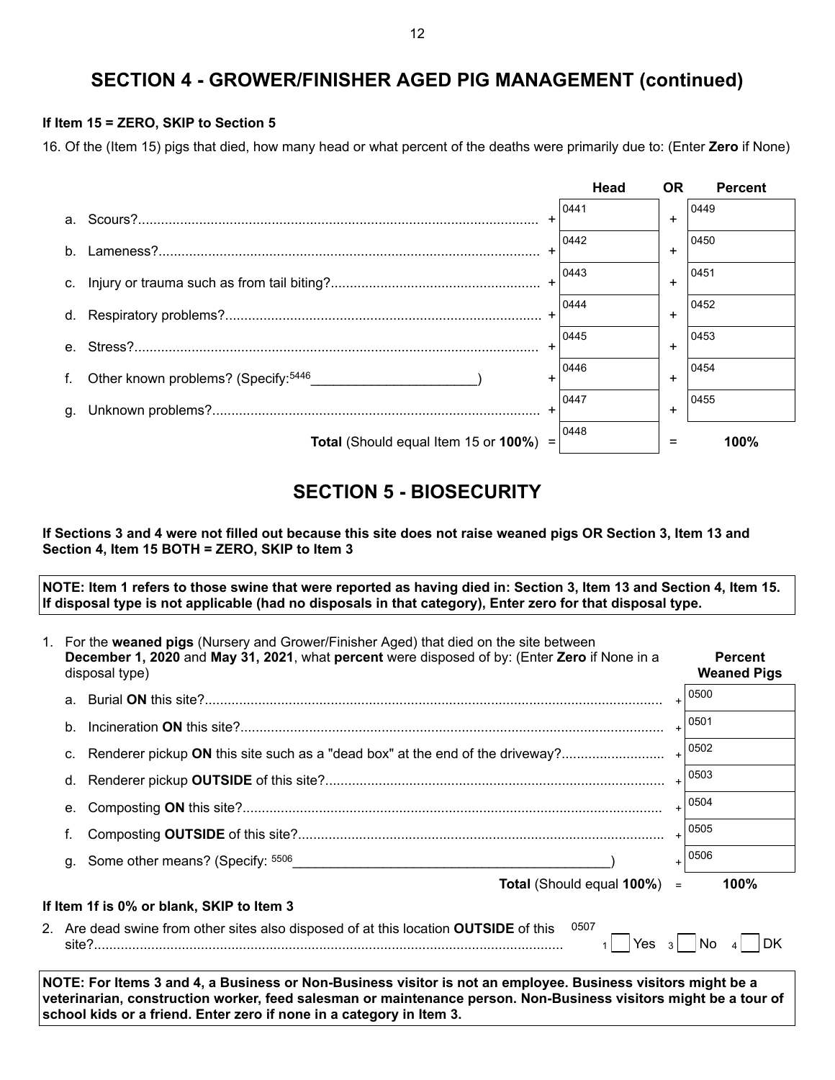### **SECTION 4 - GROWER/FINISHER AGED PIG MANAGEMENT (continued)**

#### **If Item 15 = ZERO, SKIP to Section 5**

16. Of the (Item 15) pigs that died, how many head or what percent of the deaths were primarily due to: (Enter **Zero** if None)



### **SECTION 5 - BIOSECURITY**

**If Sections 3 and 4 were not filled out because this site does not raise weaned pigs OR Section 3, Item 13 and Section 4, Item 15 BOTH = ZERO, SKIP to Item 3**

**NOTE: Item 1 refers to those swine that were reported as having died in: Section 3, Item 13 and Section 4, Item 15. If disposal type is not applicable (had no disposals in that category), Enter zero for that disposal type.**

| 1. For the weaned pigs (Nursery and Grower/Finisher Aged) that died on the site between<br>December 1, 2020 and May 31, 2021, what percent were disposed of by: (Enter Zero if None in a<br>disposal type)                                                                                               |                                                                                                                      |           |      |  |  |  |
|----------------------------------------------------------------------------------------------------------------------------------------------------------------------------------------------------------------------------------------------------------------------------------------------------------|----------------------------------------------------------------------------------------------------------------------|-----------|------|--|--|--|
| a.                                                                                                                                                                                                                                                                                                       |                                                                                                                      |           | 0500 |  |  |  |
| b.                                                                                                                                                                                                                                                                                                       |                                                                                                                      |           | 0501 |  |  |  |
| C.                                                                                                                                                                                                                                                                                                       | Renderer pickup ON this site such as a "dead box" at the end of the driveway?                                        |           | 0502 |  |  |  |
| d.                                                                                                                                                                                                                                                                                                       |                                                                                                                      |           | 0503 |  |  |  |
| е.                                                                                                                                                                                                                                                                                                       |                                                                                                                      | $\ddot{}$ | 0504 |  |  |  |
| f.                                                                                                                                                                                                                                                                                                       |                                                                                                                      |           | 0505 |  |  |  |
| g.                                                                                                                                                                                                                                                                                                       | Some other means? (Specify: 5506                                                                                     | $\ddot{}$ | 0506 |  |  |  |
|                                                                                                                                                                                                                                                                                                          | <b>Total (Should equal 100%)</b>                                                                                     | $\equiv$  | 100% |  |  |  |
|                                                                                                                                                                                                                                                                                                          | If Item 1f is 0% or blank, SKIP to Item 3                                                                            |           |      |  |  |  |
|                                                                                                                                                                                                                                                                                                          | 0507<br>2. Are dead swine from other sites also disposed of at this location OUTSIDE of this<br>Yes $3 \mid \mid$ No |           | DK   |  |  |  |
| NOTE: For Items 3 and 4, a Business or Non-Business visitor is not an employee. Business visitors might be a<br>veterinarian, construction worker, feed salesman or maintenance person. Non-Business visitors might be a tour of<br>school kids or a friend. Enter zero if none in a category in Item 3. |                                                                                                                      |           |      |  |  |  |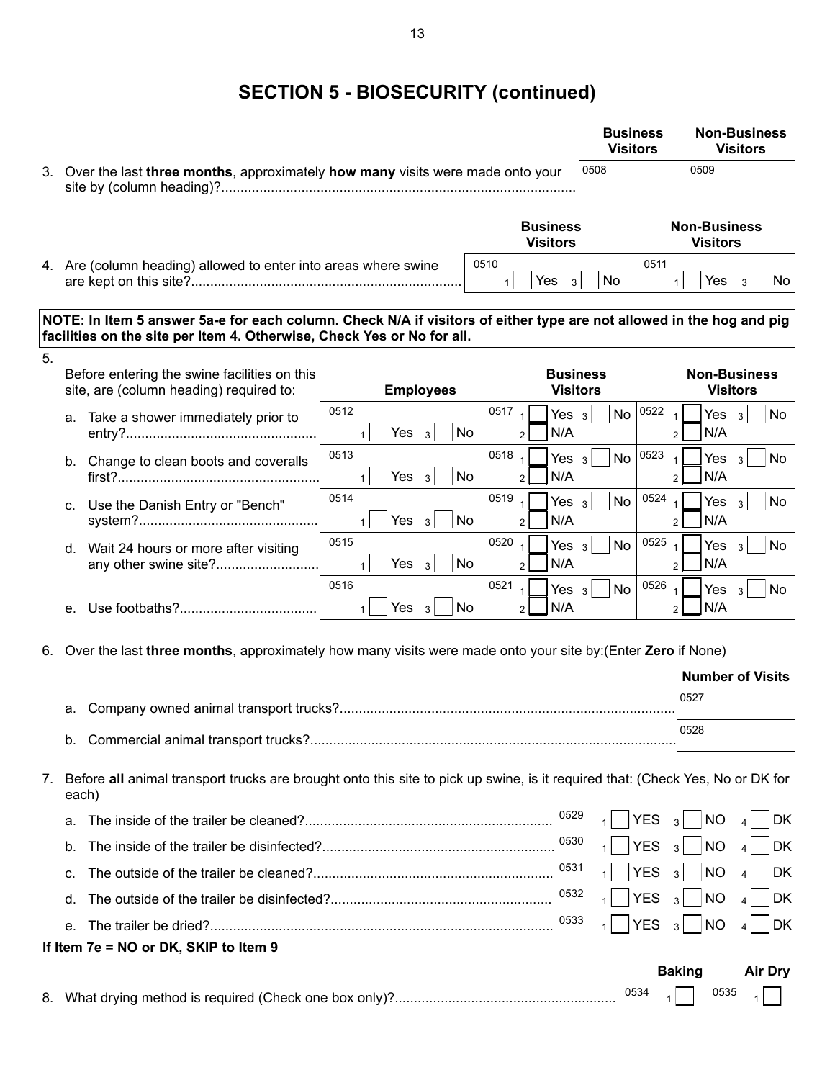# **SECTION 5 - BIOSECURITY (continued)**

|    |                                                                                                                                                                                                |                                             |                                                                         | <b>Business</b><br><b>Visitors</b> | <b>Non-Business</b><br><b>Visitors</b>                                       |
|----|------------------------------------------------------------------------------------------------------------------------------------------------------------------------------------------------|---------------------------------------------|-------------------------------------------------------------------------|------------------------------------|------------------------------------------------------------------------------|
|    | 3. Over the last three months, approximately how many visits were made onto your                                                                                                               |                                             |                                                                         | 0508                               | 0509                                                                         |
|    |                                                                                                                                                                                                |                                             | <b>Business</b><br><b>Visitors</b>                                      |                                    | <b>Non-Business</b><br><b>Visitors</b>                                       |
|    | 4. Are (column heading) allowed to enter into areas where swine                                                                                                                                |                                             | 0510<br>Yes $3$<br>$\mathbf{1}$                                         | No.                                | 0511<br>Yes<br>No<br>3                                                       |
|    | NOTE: In Item 5 answer 5a-e for each column. Check N/A if visitors of either type are not allowed in the hog and pig<br>facilities on the site per Item 4. Otherwise, Check Yes or No for all. |                                             |                                                                         |                                    |                                                                              |
| 5. | Before entering the swine facilities on this<br>site, are (column heading) required to:                                                                                                        | <b>Employees</b>                            | <b>Visitors</b>                                                         | <b>Business</b>                    | <b>Non-Business</b><br><b>Visitors</b>                                       |
|    | a. Take a shower immediately prior to                                                                                                                                                          | 0512<br>Yes $3$<br>$\mathbf{1}$             | 0517 $1$<br>Yes $3$<br>No<br>N/A<br>$\mathcal{P}$                       | <b>No</b>                          | 0522<br>Yes $3$<br>No<br>$\mathbf{1}$<br>N/A<br>$\overline{2}$               |
|    | b. Change to clean boots and coveralls                                                                                                                                                         | 0513<br>Yes $3$<br>$\mathbf{1}$             | 0518 $_1$<br>Yes $3$<br>N/A<br>No<br>$\overline{2}$                     | <b>No</b>                          | 0523<br>$\overline{1}$<br>Yes<br>No<br>$\mathbf{R}$<br>N/A<br>$\overline{2}$ |
|    | c. Use the Danish Entry or "Bench"                                                                                                                                                             | 0514<br>Yes<br>$\mathbf{3}$<br>$\mathbf{1}$ | 0519<br>Yes $3$<br>$\overline{1}$<br><b>No</b><br>N/A<br>$\overline{2}$ | No                                 | 0524<br>Yes<br>No<br>$\mathbf{1}$<br>$\mathbf{3}$<br>N/A<br>$\overline{2}$   |
|    | d. Wait 24 hours or more after visiting<br>any other swine site?                                                                                                                               | 0515<br>Yes $3$<br>$\mathbf{1}$             | 0520 $1$<br>Yes $3$<br><b>No</b><br>N/A<br>$\overline{2}$               | <b>No</b>                          | 0525<br><b>No</b><br>Yes $3$<br>N/A<br>$\overline{2}$                        |
|    | е.                                                                                                                                                                                             | 0516<br>Yes <sub>3</sub><br>$\mathbf{1}$    | 0521<br>$\overline{1}$<br>Yes $3$<br>N/A<br>No<br>$\overline{2}$        | <b>No</b>                          | 0526<br>Yes<br>No<br>$\mathbf{R}$<br>N/A<br>$\overline{2}$                   |
| 6. | Over the last three months, approximately how many visits were made onto your site by: (Enter Zero if None)                                                                                    |                                             |                                                                         |                                    |                                                                              |
|    |                                                                                                                                                                                                |                                             |                                                                         |                                    | <b>Number of Visits</b>                                                      |
|    | a.                                                                                                                                                                                             |                                             |                                                                         |                                    | 0527                                                                         |
|    |                                                                                                                                                                                                |                                             |                                                                         |                                    | 0528                                                                         |
| 7. | Before all animal transport trucks are brought onto this site to pick up swine, is it required that: (Check Yes, No or DK for<br>each)                                                         |                                             |                                                                         |                                    |                                                                              |

|                                       | $\sim$ $\sim$ $\sim$      | Baking | <b>Air Dry</b> |
|---------------------------------------|---------------------------|--------|----------------|
| If Item 7e = NO or DK, SKIP to Item 9 |                           |        |                |
|                                       | $^{0533}$ 1 YES 3 NO 4 DK |        |                |
|                                       |                           |        |                |
|                                       | $^{0531}$ 1 YES 3 NO 4 DK |        |                |
|                                       |                           |        |                |
|                                       | $^{0529}$ 1 YES 3 NO 4 DK |        |                |

8. What drying method is required (Check one box only)?................................................................... <sup>0534</sup> <sup>1</sup> <sup>0535</sup> <sup>1</sup>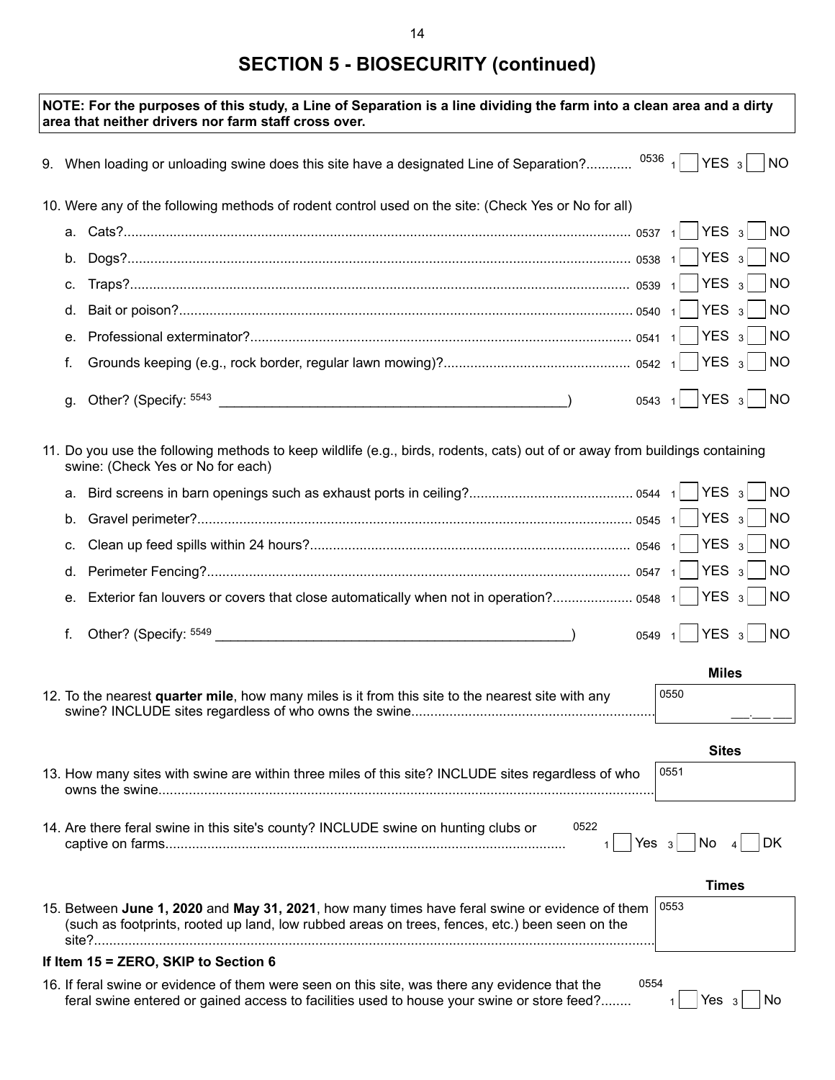# **SECTION 5 - BIOSECURITY (continued)**

|    | NOTE: For the purposes of this study, a Line of Separation is a line dividing the farm into a clean area and a dirty<br>area that neither drivers nor farm staff cross over.                     |         |                           |                             |
|----|--------------------------------------------------------------------------------------------------------------------------------------------------------------------------------------------------|---------|---------------------------|-----------------------------|
|    | 9. When loading or unloading swine does this site have a designated Line of Separation? $^{0536}$ 1 YES 3 NO                                                                                     |         |                           |                             |
|    | 10. Were any of the following methods of rodent control used on the site: (Check Yes or No for all)                                                                                              |         |                           |                             |
| а. |                                                                                                                                                                                                  |         |                           | $\overline{\mathsf{NO}}$    |
| b. |                                                                                                                                                                                                  |         |                           | N                           |
| С. |                                                                                                                                                                                                  |         |                           | NO                          |
| d. |                                                                                                                                                                                                  |         |                           | $\overline{\phantom{a}}$ NO |
| е. |                                                                                                                                                                                                  |         |                           | $\overline{\phantom{1}}$ NO |
| f. |                                                                                                                                                                                                  |         |                           | $\overline{\phantom{1}}$ NO |
| g. |                                                                                                                                                                                                  |         |                           | $0543$ 1 YES 3 NO           |
|    | 11. Do you use the following methods to keep wildlife (e.g., birds, rodents, cats) out of or away from buildings containing<br>swine: (Check Yes or No for each)                                 |         |                           |                             |
| а. |                                                                                                                                                                                                  |         |                           | <b>NO</b>                   |
| b. |                                                                                                                                                                                                  |         |                           | $\overline{N}$              |
| C. |                                                                                                                                                                                                  |         |                           | NO                          |
| d. |                                                                                                                                                                                                  |         |                           | N                           |
| е. | Exterior fan louvers or covers that close automatically when not in operation? 0548 1   YES 3                                                                                                    |         |                           | NO                          |
| f. |                                                                                                                                                                                                  |         | $YES_3$<br>$0549 \quad 1$ | N                           |
|    |                                                                                                                                                                                                  |         |                           | <b>Miles</b>                |
|    | 12. To the nearest quarter mile, how many miles is it from this site to the nearest site with any                                                                                                |         | 0550                      |                             |
|    |                                                                                                                                                                                                  |         |                           | <b>Sites</b>                |
|    | 13. How many sites with swine are within three miles of this site? INCLUDE sites regardless of who                                                                                               |         | 0551                      |                             |
|    |                                                                                                                                                                                                  |         |                           |                             |
|    | 0522<br>14. Are there feral swine in this site's county? INCLUDE swine on hunting clubs or                                                                                                       | Yes $3$ | No                        | DK                          |
|    |                                                                                                                                                                                                  |         |                           | <b>Times</b>                |
|    | 15. Between June 1, 2020 and May 31, 2021, how many times have feral swine or evidence of them<br>(such as footprints, rooted up land, low rubbed areas on trees, fences, etc.) been seen on the |         | 0553                      |                             |
|    | If Item 15 = ZERO, SKIP to Section 6                                                                                                                                                             |         |                           |                             |
|    | 16. If feral swine or evidence of them were seen on this site, was there any evidence that the                                                                                                   | 0554    |                           |                             |

16. If feral swine or evidence of them were seen on this site, was there any evidence that the feral swine entered or gained access to facilities used to house your swine or store feed?.............

 $_1$  | Yes  $_3$  | No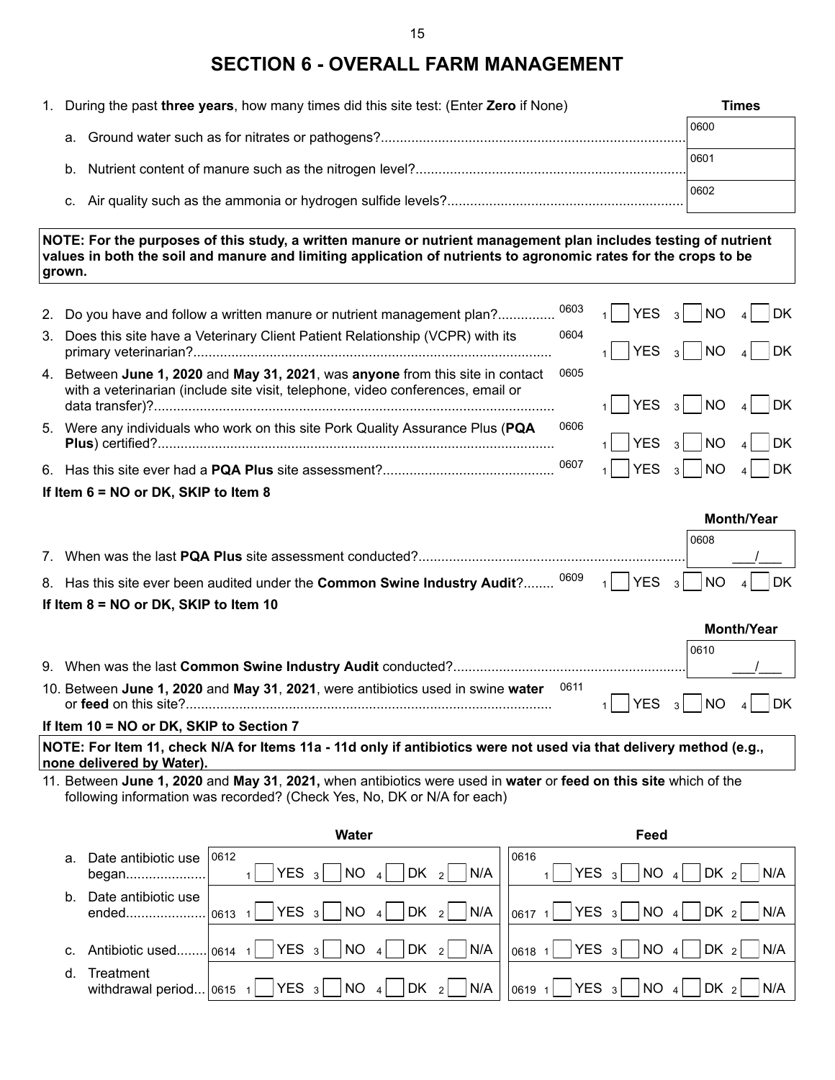### **SECTION 6 - OVERALL FARM MANAGEMENT**

| 1. During the past three years, how many times did this site test: (Enter Zero if None) | Times |
|-----------------------------------------------------------------------------------------|-------|
|                                                                                         | 0600  |
|                                                                                         | 0601  |
|                                                                                         | 0602  |
|                                                                                         |       |

**NOTE: For the purposes of this study, a written manure or nutrient management plan includes testing of nutrient values in both the soil and manure and limiting application of nutrients to agronomic rates for the crops to be grown.**

| 2. | Do you have and follow a written manure or nutrient management plan?                                                                                           | 0603 | <b>YES</b> | <b>NO</b><br>3 <sup>1</sup>          | <b>DK</b>         |
|----|----------------------------------------------------------------------------------------------------------------------------------------------------------------|------|------------|--------------------------------------|-------------------|
| 3. | Does this site have a Veterinary Client Patient Relationship (VCPR) with its                                                                                   | 0604 | <b>YES</b> | NO<br>3 <sup>1</sup>                 | <b>DK</b>         |
| 4. | Between June 1, 2020 and May 31, 2021, was anyone from this site in contact<br>with a veterinarian (include site visit, telephone, video conferences, email or | 0605 | YES        | $3$ NO                               | DK                |
|    | 5. Were any individuals who work on this site Pork Quality Assurance Plus (PQA                                                                                 | 0606 | <b>YES</b> | <b>NO</b><br>3 <sup>1</sup>          | DK                |
|    |                                                                                                                                                                | 0607 | <b>YES</b> | N<br>3 <sup>1</sup>                  | DK                |
|    | If Item $6 = NO$ or DK, SKIP to Item 8                                                                                                                         |      |            |                                      |                   |
|    |                                                                                                                                                                |      |            |                                      | <b>Month/Year</b> |
|    |                                                                                                                                                                |      |            | 0608                                 |                   |
|    |                                                                                                                                                                |      |            |                                      |                   |
|    | 8. Has this site ever been audited under the Common Swine Industry Audit?                                                                                      | 0609 | YES        | <b>NO</b><br>$\overline{\mathbf{3}}$ | <b>DK</b>         |
|    | If Item $8 = NO$ or DK, SKIP to Item 10                                                                                                                        |      |            |                                      |                   |
|    |                                                                                                                                                                |      |            |                                      | <b>Month/Year</b> |
|    |                                                                                                                                                                |      |            | 0610                                 |                   |

| 10. Between June 1, 2020 and May 31, 2021, were antibiotics used in swine water 0611                                                                                          | $\begin{array}{c} \begin{array}{ c c c c c } \hline \end{array} \end{array}$ The $\begin{array}{ c c c c c c } \hline \end{array}$ The $\begin{array}{ c c c c c c } \hline \end{array}$ The $\begin{array}{ c c c c c c } \hline \end{array}$ |  |  |
|-------------------------------------------------------------------------------------------------------------------------------------------------------------------------------|------------------------------------------------------------------------------------------------------------------------------------------------------------------------------------------------------------------------------------------------|--|--|
| $R_{\text{H}}$ $\ldots$ $A\Lambda = \text{N}\Omega$ $\ldots$ $\text{N}I$ $\Omega$ $\Omega$ $\text{N}\Omega$ $\Lambda$ $\ldots$ $\Omega$ $\ldots$ $\Omega$ $\ldots$ $\text{N}$ |                                                                                                                                                                                                                                                |  |  |

#### **If Item 10 = NO or DK, SKIP to Section 7**

**NOTE: For Item 11, check N/A for Items 11a - 11d only if antibiotics were not used via that delivery method (e.g., none delivered by Water).**

11. Between **June 1, 2020** and **May 31**, **2021,** when antibiotics were used in **water** or **feed on this site** which of the following information was recorded? (Check Yes, No, DK or N/A for each)

|         |                                             | Water                                                                                | Feed                                                                                                            |
|---------|---------------------------------------------|--------------------------------------------------------------------------------------|-----------------------------------------------------------------------------------------------------------------|
| a.      | Date antibiotic use 0612<br>began           | DK<br>NO<br>N/A<br>YES $3$<br>$\vert$ 4<br>$\begin{array}{c c} \hline \end{array}$ 2 | 0616<br>NO<br>DK <sub>2</sub><br>YES <sub>3</sub><br>N/A                                                        |
| b.      | Date antibiotic use<br>ended                | $DK_2$ N/A<br>$YES_3$<br>NO <sub>4</sub><br>0613                                     | $ \mathsf{DK}_2 $<br>$ 0617 \t1$ YES 3 NO 4<br>N/A                                                              |
|         | c. Antibiotic used                          | $ NO_4 $ $ DK_2 $ $ N/A $<br>$YES_3$<br>.0614                                        | $ 0618 \t1$ YES 3<br>NO <sub>4</sub><br>DK <sub>2</sub><br>N/A                                                  |
| $d_{-}$ | Treatment<br>withdrawal period $ 0615 \t1 $ | $YES_3$<br>$ NO_4 $ $ DK_2 $ $ N/A$                                                  | $ 0619 \t1$   YES 3<br>$DK_2$<br>$\begin{array}{ c c c c c } \hline \text{NO} & 4 \\ \hline \end{array}$<br>N/A |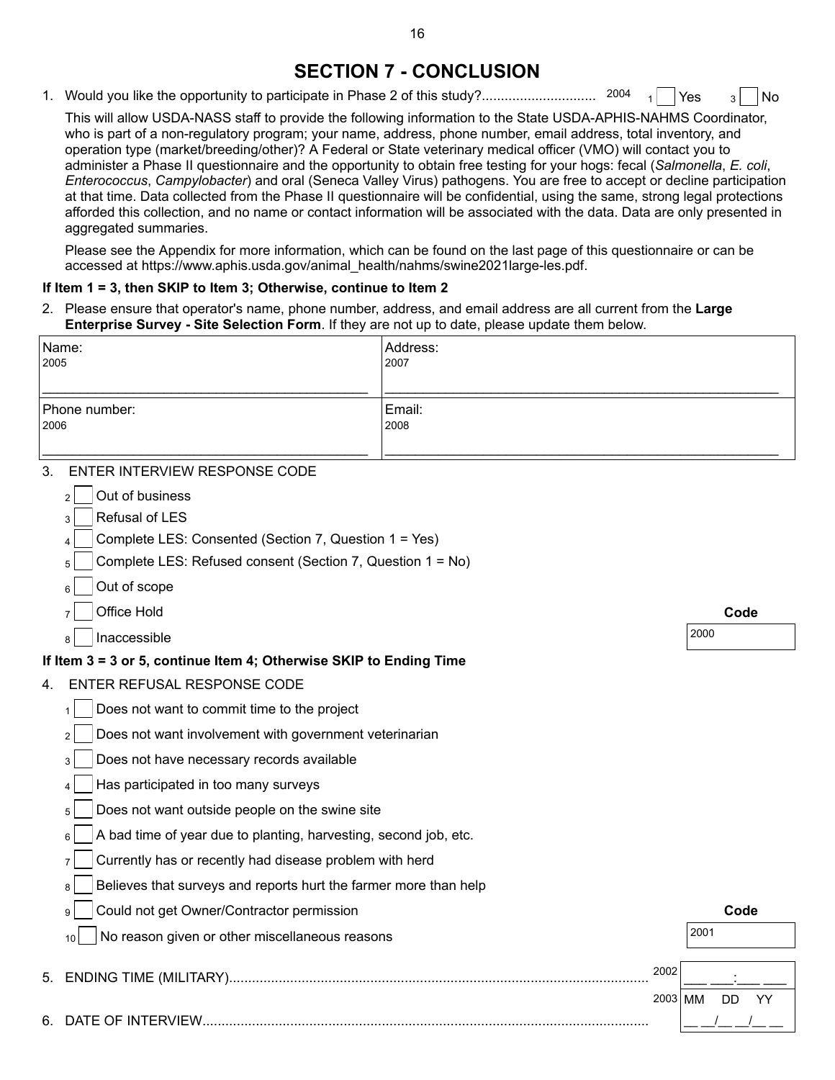### **SECTION 7 - CONCLUSION**

1. Would you like the opportunity to participate in Phase 2 of this study?................................... Yes  $3$  No

This will allow USDA-NASS staff to provide the following information to the State USDA-APHIS-NAHMS Coordinator, who is part of a non-regulatory program; your name, address, phone number, email address, total inventory, and operation type (market/breeding/other)? A Federal or State veterinary medical officer (VMO) will contact you to administer a Phase II questionnaire and the opportunity to obtain free testing for your hogs: fecal (*Salmonella*, *E. coli*, *Enterococcus*, *Campylobacter*) and oral (Seneca Valley Virus) pathogens. You are free to accept or decline participation at that time. Data collected from the Phase II questionnaire will be confidential, using the same, strong legal protections afforded this collection, and no name or contact information will be associated with the data. Data are only presented in aggregated summaries.

Please see the Appendix for more information, which can be found on the last page of this questionnaire or can be accessed at https://www.aphis.usda.gov/animal\_health/nahms/swine2021large-les.pdf.

#### **If Item 1 = 3, then SKIP to Item 3; Otherwise, continue to Item 2**

2. Please ensure that operator's name, phone number, address, and email address are all current from the **Large Enterprise Survey - Site Selection Form**. If they are not up to date, please update them below.

| Name:<br>2005                                                         | Address:<br>2007 |      |
|-----------------------------------------------------------------------|------------------|------|
|                                                                       |                  |      |
| Phone number:<br>2006                                                 | Email:<br>2008   |      |
| ENTER INTERVIEW RESPONSE CODE<br>3.                                   |                  |      |
| Out of business<br>$\overline{2}$                                     |                  |      |
| Refusal of LES                                                        |                  |      |
| Complete LES: Consented (Section 7, Question 1 = Yes)                 |                  |      |
| Complete LES: Refused consent (Section 7, Question 1 = No)<br>5       |                  |      |
| Out of scope                                                          |                  |      |
| Office Hold                                                           |                  | Code |
| Inaccessible                                                          |                  | 2000 |
| If Item 3 = 3 or 5, continue Item 4; Otherwise SKIP to Ending Time    |                  |      |
| ENTER REFUSAL RESPONSE CODE<br>4.                                     |                  |      |
| Does not want to commit time to the project                           |                  |      |
| Does not want involvement with government veterinarian                |                  |      |
| Does not have necessary records available<br>3                        |                  |      |
| Has participated in too many surveys                                  |                  |      |
| Does not want outside people on the swine site<br>5                   |                  |      |
| A bad time of year due to planting, harvesting, second job, etc.<br>6 |                  |      |
| Currently has or recently had disease problem with herd<br>7          |                  |      |
| Believes that surveys and reports hurt the farmer more than help<br>8 |                  |      |
| Could not get Owner/Contractor permission<br>9                        |                  | Code |
| No reason given or other miscellaneous reasons<br>10                  |                  | 2001 |
| <b>ENDING TIME (MILITARY).</b><br>5.                                  | 2002             |      |

| $\frac{1}{2}$ |  |
|---------------|--|
|               |  |

 $\frac{1}{\sqrt{2}}$   $\frac{1}{\sqrt{2}}$   $\frac{1}{\sqrt{2}}$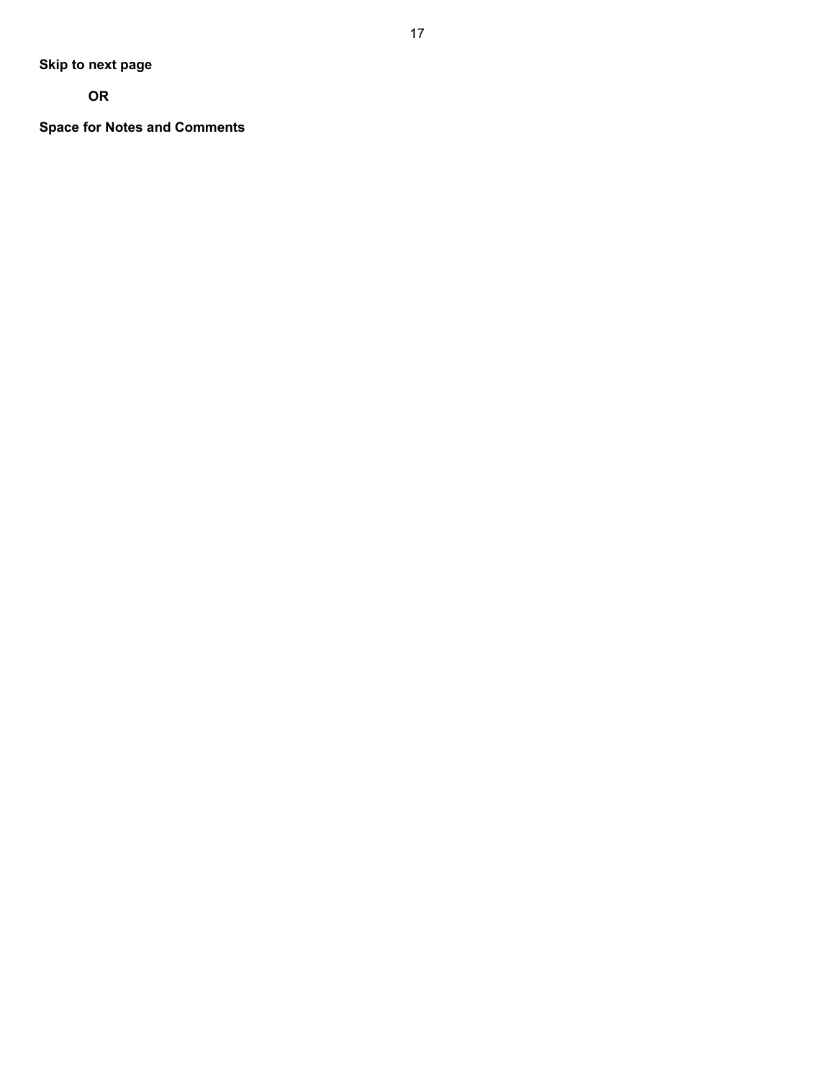**OR**

**Space for Notes and Comments**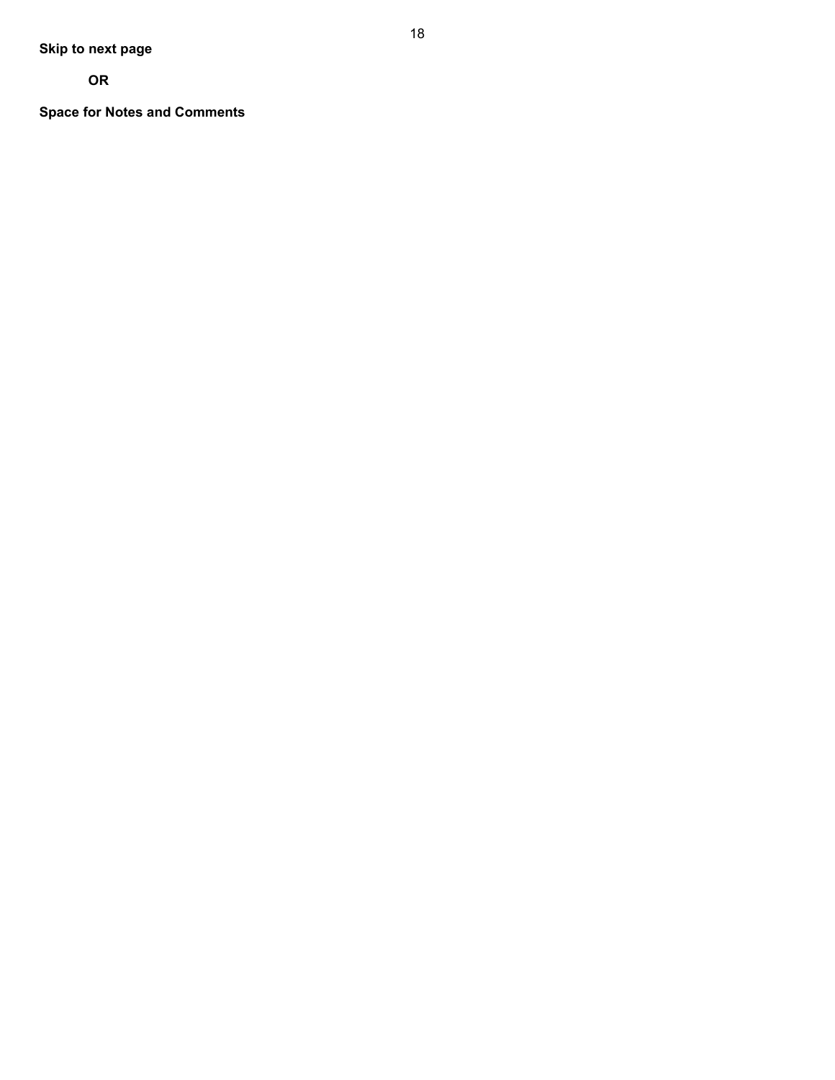**OR**

**Space for Notes and Comments**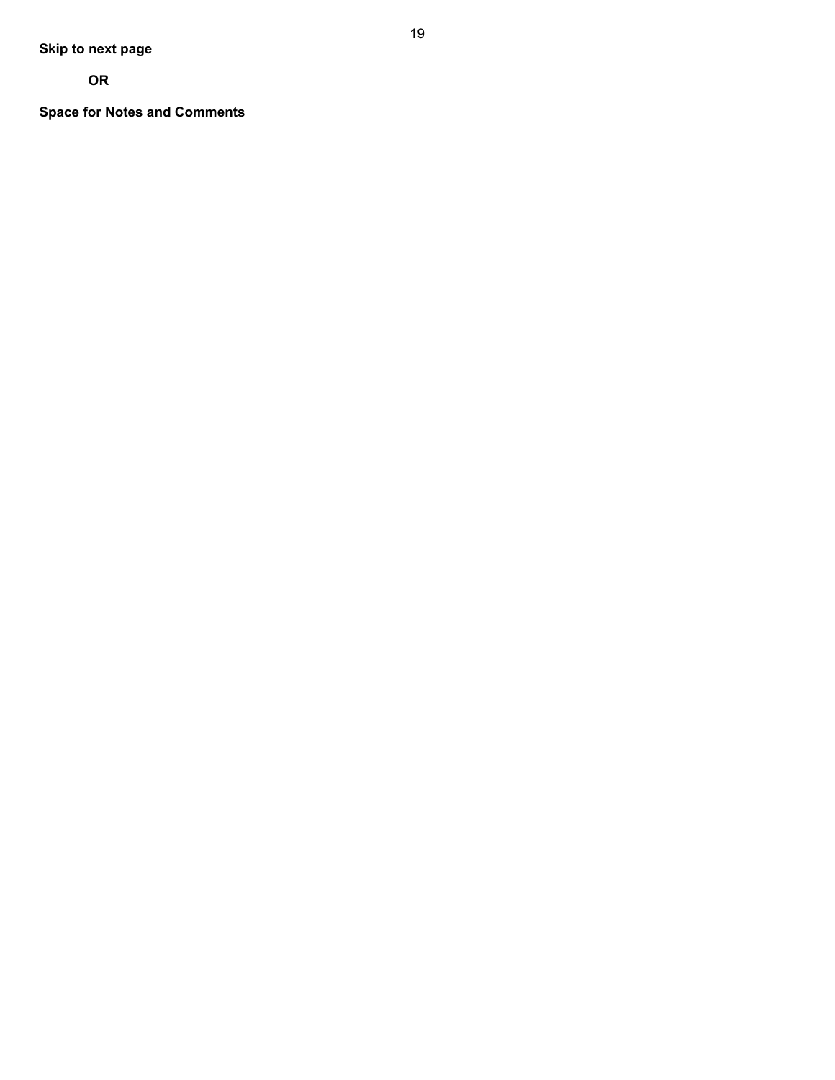**OR**

**Space for Notes and Comments**